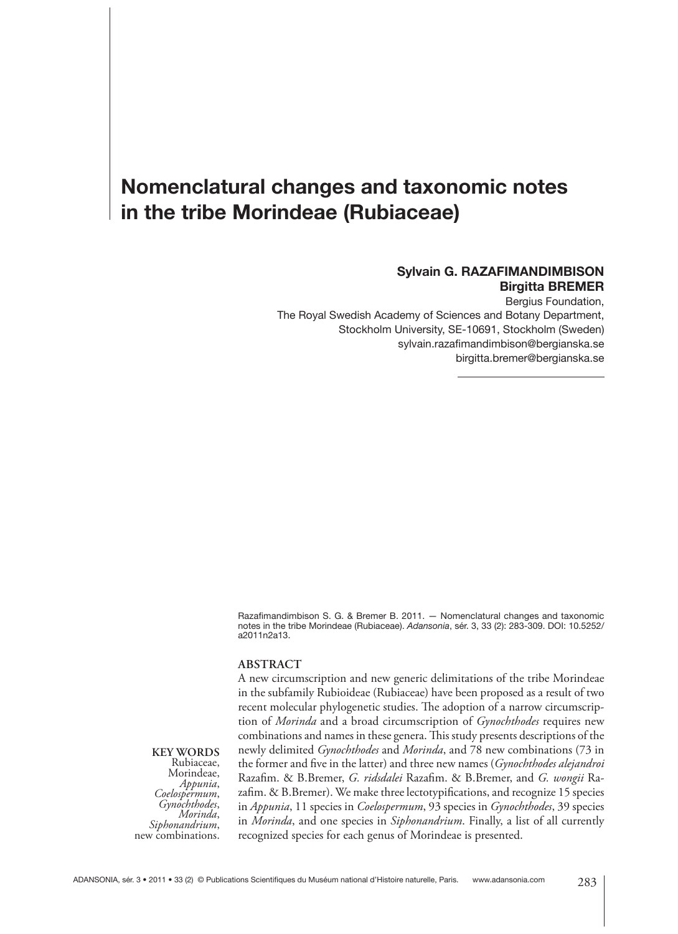# **Nomenclatural changes and taxonomic notes in the tribe Morindeae (Rubiaceae)**

#### **Sylvain G. RAZAFIMANDIMBISON Birgitta BREMER**

Bergius Foundation, The Royal Swedish Academy of Sciences and Botany Department, Stockholm University, SE-10691, Stockholm (Sweden) sylvain.razafimandimbison@bergianska.se birgitta.bremer@bergianska.se

Razafimandimbison S. G. & Bremer B. 2011. - Nomenclatural changes and taxonomic notes in the tribe Morindeae (Rubiaceae). *Adansonia*, sér. 3, 33 (2): 283-309. DOI: 10.5252/ a2011n2a13.

#### **ABSTRACT**

A new circumscription and new generic delimitations of the tribe Morindeae in the subfamily Rubioideae (Rubiaceae) have been proposed as a result of two recent molecular phylogenetic studies. The adoption of a narrow circumscription of *Morinda* and a broad circumscription of *Gynochthodes* requires new combinations and names in these genera. This study presents descriptions of the newly delimited *Gynochthodes* and *Morinda*, and 78 new combinations (73 in the former and five in the latter) and three new names (*Gynochthodes alejandroi* Razafim. & B.Bremer, *G. ridsdalei* Razafim. & B.Bremer, and *G. wongii* Razafim. & B.Bremer). We make three lectotypifications, and recognize 15 species in *Appunia*, 11 species in *Coelospermum*, 93 species in *Gynochthodes*, 39 species in *Morinda*, and one species in *Siphonandrium*. Finally, a list of all currently recognized species for each genus of Morindeae is presented.

**KEY WORDS** Rubiaceae, Morindeae,<br>*Appunia*, *Appunia*, *Coelospermum*, *Gynochthodes*, *Morinda*, *Siphonandrium*, new combinations.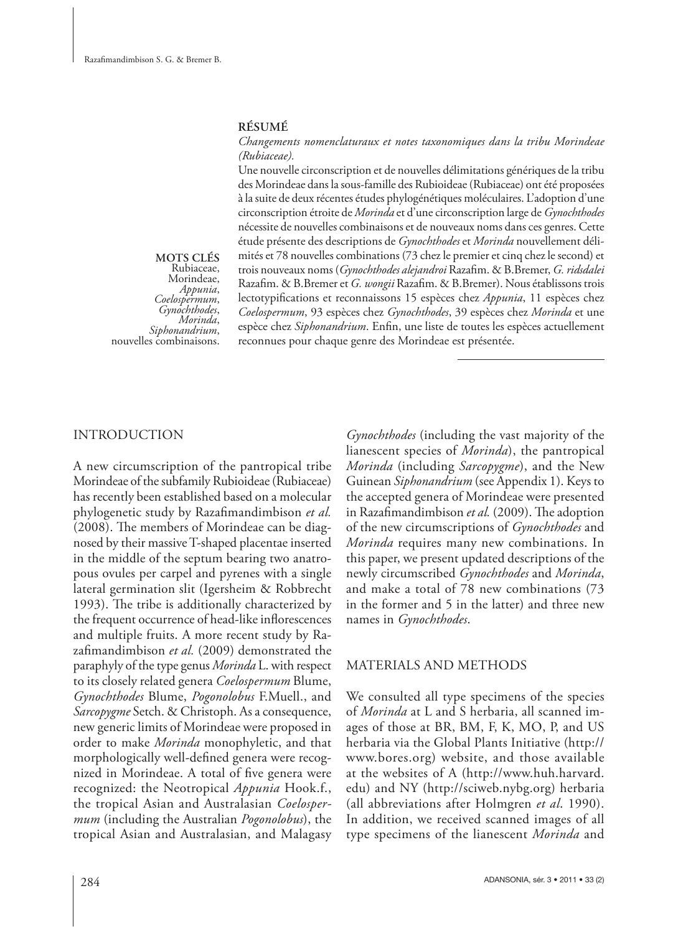#### **RÉSUMÉ**

#### *Changements nomenclaturaux et notes taxonomiques dans la tribu Morindeae (Rubiaceae).*

Une nouvelle circonscription et de nouvelles délimitations génériques de la tribu des Morindeae dans la sous-famille des Rubioideae (Rubiaceae) ont été proposées à la suite de deux récentes études phylogénétiques moléculaires. L'adoption d'une circonscription étroite de *Morinda* et d'une circonscription large de *Gynochthodes* nécessite de nouvelles combinaisons et de nouveaux noms dans ces genres. Cette étude présente des descriptions de *Gynochthodes* et *Morinda* nouvellement délimités et 78 nouvelles combinations (73 chez le premier et cinq chez le second) et trois nouveaux noms (Gynochthodes alejandroi Razafim. & B.Bremer, G. ridsdalei Razafim. & B.Bremer et *G. wongii* Razafim. & B.Bremer). Nous établissons trois lectotypifications et reconnaissons 15 espèces chez *Appunia*, 11 espèces chez *Coelospermum*, 93 espèces chez *Gynochthodes*, 39 espèces chez *Morinda* et une espèce chez *Siphonandrium*. Enfin, une liste de toutes les espèces actuellement reconnues pour chaque genre des Morindeae est présentée.

**MOTS CLÉS** Rubiaceae, Morindeae,<br>*Appunia*, *Appunia*, *Coelospermum*, *Gynochthodes*, *Morinda*, *Siphonandrium*, nouvelles combinaisons.

#### INTRODUCTION

A new circumscription of the pantropical tribe Morindeae of the subfamily Rubioideae (Rubiaceae) has recently been established based on a molecular phylogenetic study by Razafimandimbison et al. (2008). The members of Morindeae can be diagnosed by their massive T-shaped placentae inserted in the middle of the septum bearing two anatropous ovules per carpel and pyrenes with a single lateral germination slit (Igersheim & Robbrecht 1993). The tribe is additionally characterized by the frequent occurrence of head-like inflorescences and multiple fruits. A more recent study by Razafimandimbison et al. (2009) demonstrated the paraphyly of the type genus *Morinda* L. with respect to its closely related genera *Coelospermum* Blume, *Gynochthodes* Blume, *Pogonolobus* F.Muell., and *Sarcopygme* Setch. & Christoph. As a consequence, new generic limits of Morindeae were proposed in order to make *Morinda* monophyletic, and that morphologically well-defined genera were recognized in Morindeae. A total of five genera were recognized: the Neotropical *Appunia* Hook.f., the tropical Asian and Australasian *Coelospermum* (including the Australian *Pogonolobus*), the tropical Asian and Australasian, and Malagasy *Gynochthodes* (including the vast majority of the lianescent species of *Morinda*), the pantropical *Morinda* (including *Sarcopygme*), and the New Guinean *Siphonandrium* (see Appendix 1). Keys to the accepted genera of Morindeae were presented in Razafimandimbison et al. (2009). The adoption of the new circumscriptions of *Gynochthodes* and *Morinda* requires many new combinations. In this paper, we present updated descriptions of the newly circumscribed *Gynochthodes* and *Morinda*, and make a total of 78 new combinations (73 in the former and 5 in the latter) and three new names in *Gynochthodes*.

#### MATERIALS AND METHODS

We consulted all type specimens of the species of *Morinda* at L and S herbaria, all scanned images of those at BR, BM, F, K, MO, P, and US herbaria via the Global Plants Initiative (http:// www.bores.org) website, and those available at the websites of A (http://www.huh.harvard. edu) and NY (http://sciweb.nybg.org) herbaria (all abbreviations after Holmgren *et al*. 1990). In addition, we received scanned images of all type specimens of the lianescent *Morinda* and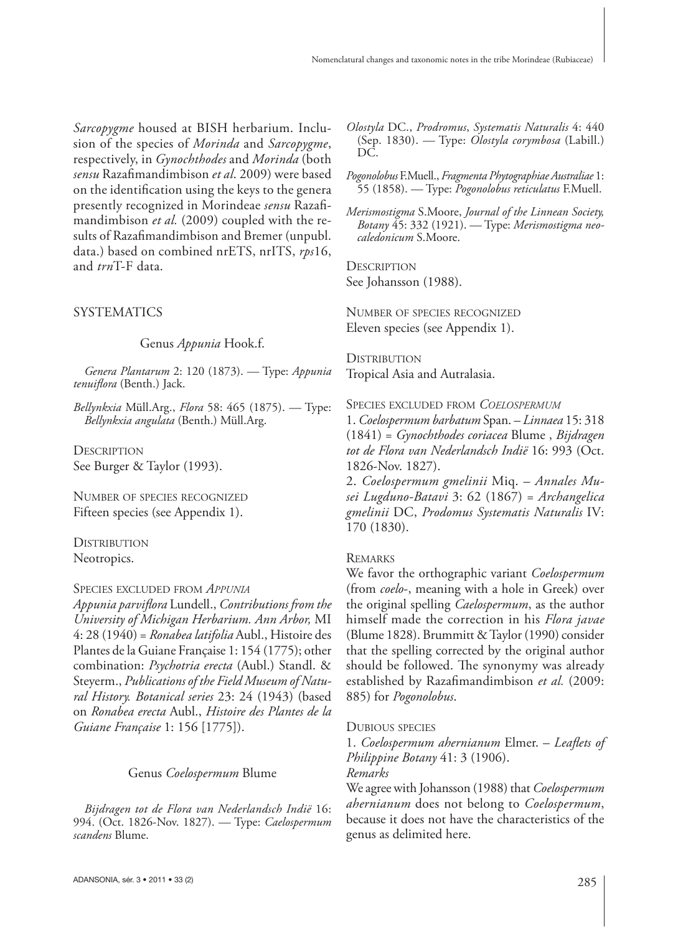*Sarcopygme* housed at BISH herbarium. Inclusion of the species of *Morinda* and *Sarcopygme*, respectively, in *Gynochthodes* and *Morinda* (both *sensu* Razafi mandimbison *et al*. 2009) were based on the identification using the keys to the genera presently recognized in Morindeae sensu Razafimandimbison *et al.* (2009) coupled with the results of Razafimandimbison and Bremer (unpubl. data.) based on combined nrETS, nrITS, *rps*16, and *trn*T-F data.

# **SYSTEMATICS**

Genus *Appunia* Hook.f.

*Genera Plantarum* 2: 120 (1873). — Type: *Appunia*  tenuiflora (Benth.) Jack.

*Bellynkxia* Müll.Arg., *Flora* 58: 465 (1875). — Type: *Bellynkxia angulata* (Benth.) Müll.Arg.

**DESCRIPTION** See Burger & Taylor (1993).

NUMBER OF SPECIES RECOGNIZED Fifteen species (see Appendix 1).

**DISTRIBUTION** Neotropics.

#### SPECIES EXCLUDED FROM *APPUNIA*

*Appunia parvifl ora* Lundell., *Contributions from the University of Michigan Herbarium. Ann Arbor,* MI 4: 28 (1940) = *Ronabea latifolia* Aubl., Histoire des Plantes de la Guiane Française 1: 154 (1775); other combination: *Psychotria erecta* (Aubl.) Standl. & Steyerm., *Publications of the Field Museum of Natural History. Botanical series* 23: 24 (1943) (based on *Ronabea erecta* Aubl., *Histoire des Plantes de la Guiane Française* 1: 156 [1775]).

#### Genus *Coelospermum* Blume

*Bijdragen tot de Flora van Nederlandsch Indië* 16: 994. (Oct. 1826-Nov. 1827). — Type: *Caelospermum scandens* Blume.

- *Olostyla* DC., *Prodromus*, *Systematis Naturalis* 4: 440 (Sep. 1830). — Type: *Olostyla corymbosa* (Labill.) DC.
- *Pogonolobus* F.Muell., *Fragmenta Phytographiae Australiae* 1: 55 (1858). — Type: *Pogonolobus reticulatus* F.Muell.
- *Merismostigma* S.Moore, *Journal of the Linnean Society, Botany* 45: 332 (1921). — Type: *Merismostigma neocaledonicum* S.Moore.

**DESCRIPTION** See Johansson (1988).

NUMBER OF SPECIES RECOGNIZED Eleven species (see Appendix 1).

**DISTRIBUTION** Tropical Asia and Autralasia.

SPECIES EXCLUDED FROM *COELOSPERMUM*

1. *Coelospermum barbatum* Span. – *Linnaea* 15: 318 (1841) = *Gynochthodes coriacea* Blume , *Bijdragen tot de Flora van Nederlandsch Indië* 16: 993 (Oct. 1826-Nov. 1827).

2. *Coelospermum gmelinii* Miq. – *Annales Musei Lugduno-Batavi* 3: 62 (1867) = *Archangelica gmelinii* DC, *Prodomus Systematis Naturalis* IV: 170 (1830).

### **REMARKS**

We favor the orthographic variant *Coelospermum* (from *coelo*-, meaning with a hole in Greek) over the original spelling *Caelospermum*, as the author himself made the correction in his *Flora javae* (Blume 1828). Brummitt & Taylor (1990) consider that the spelling corrected by the original author should be followed. The synonymy was already established by Razafimandimbison *et al.* (2009: 885) for *Pogonolobus*.

#### DUBIOUS SPECIES

1. *Coelospermum ahernianum* Elmer. – *Leaflets of Philippine Botany* 41: 3 (1906). *Remarks*

We agree with Johansson (1988) that *Coelospermum ahernianum* does not belong to *Coelospermum*, because it does not have the characteristics of the genus as delimited here.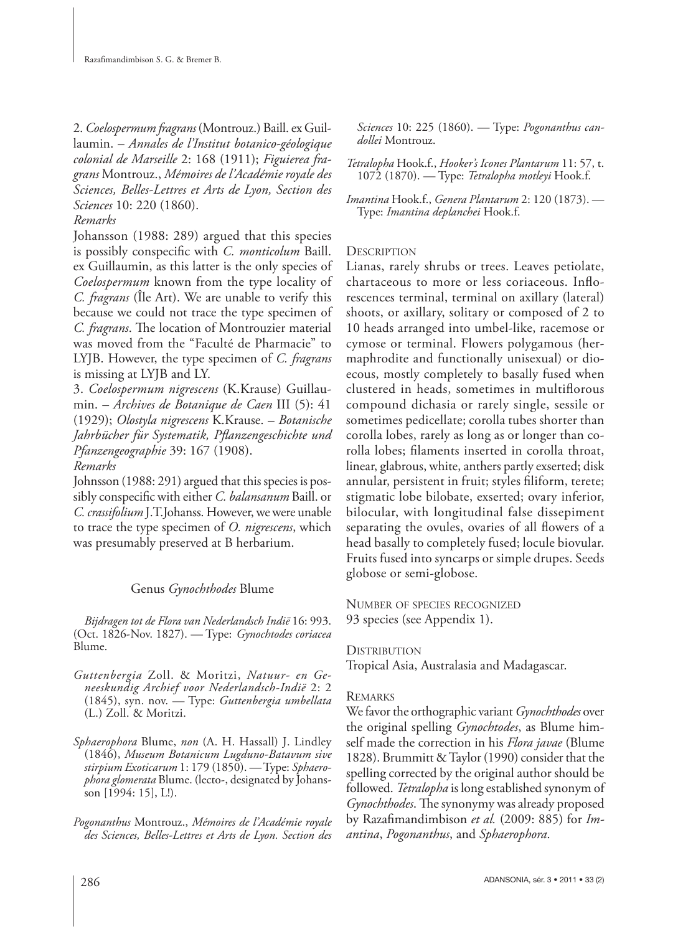2. *Coelospermum fragrans* (Montrouz.) Baill. ex Guillaumin. – *Annales de l'Institut botanico-géologique colonial de Marseille* 2: 168 (1911); *Figuierea fragrans* Montrouz., *Mémoires de l'Académie royale des Sciences, Belles-Lettres et Arts de Lyon, Section des Sciences* 10: 220 (1860).

### *Remarks*

Johansson (1988: 289) argued that this species is possibly conspecific with *C. monticolum* Baill. ex Guillaumin, as this latter is the only species of *Coelospermum* known from the type locality of *C. fragrans* (Île Art). We are unable to verify this because we could not trace the type specimen of *C. fragrans*. The location of Montrouzier material was moved from the "Faculté de Pharmacie" to LYJB. However, the type specimen of *C. fragrans* is missing at LYJB and LY.

3. *Coelospermum nigrescens* (K.Krause) Guillaumin. – *Archives de Botanique de Caen* III (5): 41 (1929); *Olostyla nigrescens* K.Krause. – *Botanische Jahrbücher für Systematik, Pfl anzengeschichte und Pfanzengeographie* 39: 167 (1908).

*Remarks*

Johnsson (1988: 291) argued that this species is possibly conspecific with either *C. balansanum* Baill. or *C. crassifolium* J.T.Johanss. However, we were unable to trace the type specimen of *O. nigrescens*, which was presumably preserved at B herbarium.

# Genus *Gynochthodes* Blume

*Bijdragen tot de Flora van Nederlandsch Indië* 16: 993. (Oct. 1826-Nov. 1827). — Type: *Gynochtodes coriacea* Blume.

- *Guttenbergia* Zoll. & Moritzi, *Natuur- en Geneeskundig Archief voor Nederlandsch-Indië* 2: 2 (1845), syn. nov. — Type: *Guttenbergia umbellata* (L.) Zoll. & Moritzi.
- *Sphaerophora* Blume, *non* (A. H. Hassall) J. Lindley (1846), *Museum Botanicum Lugduno-Batavum sive stirpium Exoticarum* 1: 179 (1850). — Type: *Sphaerophora glomerata* Blume. (lecto-, designated by Johansson [1994: 15], L!).
- *Pogonanthus* Montrouz., *Mémoires de l'Académie royale des Sciences, Belles-Lettres et Arts de Lyon. Section des*

*Sciences* 10: 225 (1860). — Type: *Pogonanthus candollei* Montrouz.

*Tetralopha* Hook.f., *Hooker's Icones Plantarum* 11: 57, t. 1072 (1870). — Type: *Tetralopha motleyi* Hook.f.

*Imantina* Hook.f., *Genera Plantarum* 2: 120 (1873). — Type: *Imantina deplanchei* Hook.f.

# **DESCRIPTION**

Lianas, rarely shrubs or trees. Leaves petiolate, chartaceous to more or less coriaceous. Inflorescences terminal, terminal on axillary (lateral) shoots, or axillary, solitary or composed of 2 to 10 heads arranged into umbel-like, racemose or cymose or terminal. Flowers polygamous (hermaphrodite and functionally unisexual) or dioecous, mostly completely to basally fused when clustered in heads, sometimes in multiflorous compound dichasia or rarely single, sessile or sometimes pedicellate; corolla tubes shorter than corolla lobes, rarely as long as or longer than corolla lobes; filaments inserted in corolla throat, linear, glabrous, white, anthers partly exserted; disk annular, persistent in fruit; styles filiform, terete; stigmatic lobe bilobate, exserted; ovary inferior, bilocular, with longitudinal false dissepiment separating the ovules, ovaries of all flowers of a head basally to completely fused; locule biovular. Fruits fused into syncarps or simple drupes. Seeds globose or semi-globose.

NUMBER OF SPECIES RECOGNIZED 93 species (see Appendix 1).

### **DISTRIBUTION**

Tropical Asia, Australasia and Madagascar.

# **REMARKS**

We favor the orthographic variant *Gynochthodes* over the original spelling *Gynochtodes*, as Blume himself made the correction in his *Flora javae* (Blume 1828). Brummitt & Taylor (1990) consider that the spelling corrected by the original author should be followed. *Tetralopha* is long established synonym of *Gynochthodes*. The synonymy was already proposed by Razafimandimbison et al. (2009: 885) for *Imantina*, *Pogonanthus*, and *Sphaerophora*.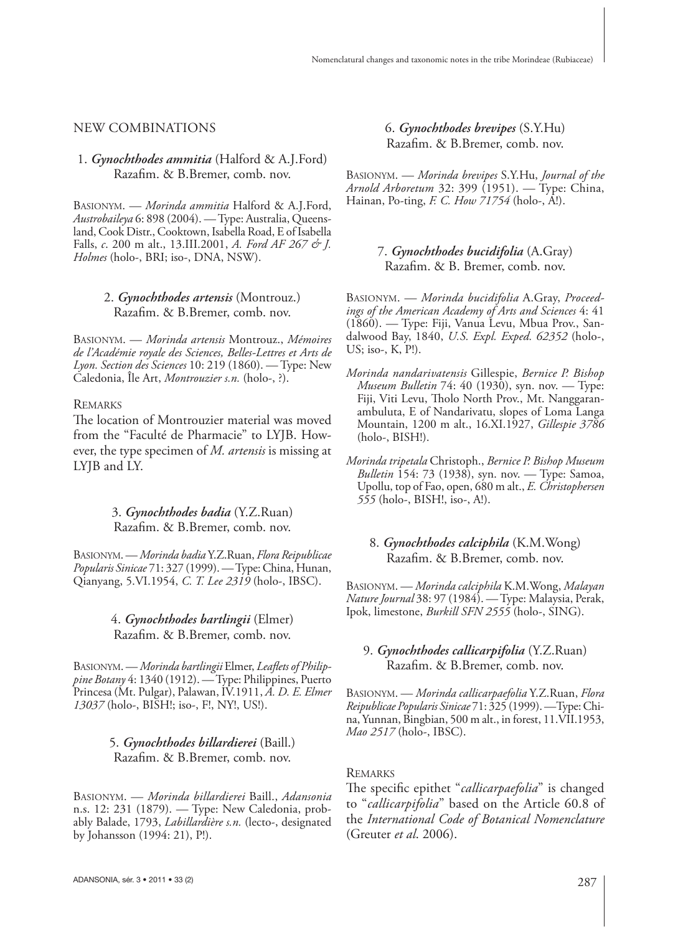#### NEW COMBINATIONS

#### 1. *Gynochthodes ammitia* (Halford & A.J.Ford) Razafim. & B.Bremer, comb. nov.

BASIONYM. — *Morinda ammitia* Halford & A.J.Ford, *Austrobaileya* 6: 898 (2004). — Type: Australia, Queensland, Cook Distr., Cooktown, Isabella Road, E of Isabella Falls, *c*. 200 m alt., 13.III.2001, *A. Ford AF 267 & J. Holmes* (holo-, BRI; iso-, DNA, NSW).

#### 2. *Gynochthodes artensis* (Montrouz.) Razafim. & B.Bremer, comb. nov.

BASIONYM. — *Morinda artensis* Montrouz., *Mémoires de l'Académie royale des Sciences, Belles-Lettres et Arts de Lyon. Section des Sciences* 10: 219 (1860). — Type: New Caledonia, Île Art, *Montrouzier s.n.* (holo-, ?).

#### **REMARKS**

The location of Montrouzier material was moved from the "Faculté de Pharmacie" to LYJB. However, the type specimen of *M. artensis* is missing at LYJB and LY.

### 3. *Gynochthodes badia* (Y.Z.Ruan) Razafim. & B.Bremer, comb. nov.

BASIONYM. — *Morinda badia* Y.Z.Ruan, *Flora Reipublicae Popularis Sinicae* 71: 327 (1999). — Type: China, Hunan, Qianyang, 5.VI.1954, *C. T. Lee 2319* (holo-, IBSC).

### 4. *Gynochthodes bartlingii* (Elmer) Razafim. & B.Bremer, comb. nov.

BASIONYM. — *Morinda bartlingii* Elmer, *Leaflets of Philippine Botany* 4: 1340 (1912). — Type: Philippines, Puerto Princesa (Mt. Pulgar), Palawan, IV.1911, *A. D. E. Elmer 13037* (holo-, BISH!; iso-, F!, NY!, US!).

### 5. *Gynochthodes billardierei* (Baill.) Razafim. & B.Bremer, comb. nov.

BASIONYM. — *Morinda billardierei* Baill., *Adansonia* n.s. 12: 231 (1879). — Type: New Caledonia, probably Balade, 1793, *Labillardière s.n.* (lecto-, designated by Johansson (1994: 21), P!).

### 6. *Gynochthodes brevipes* (S.Y.Hu) Razafim. & B.Bremer, comb. nov.

BASIONYM. — *Morinda brevipes* S.Y.Hu, *Journal of the Arnold Arboretum* 32: 399 (1951). — Type: China, Hainan, Po-ting, *F. C. How 71754* (holo-, A!).

### 7. *Gynochthodes bucidifolia* (A.Gray) Razafim. & B. Bremer, comb. nov.

BASIONYM. — *Morinda bucidifolia* A.Gray, *Proceedings of the American Academy of Arts and Sciences* 4: 41 (1860). — Type: Fiji, Vanua Levu, Mbua Prov., Sandalwood Bay, 1840, *U.S. Expl. Exped. 62352* (holo-, US; iso-, K, P!).

- *Morinda nandarivatensis* Gillespie, *Bernice P. Bishop Museum Bulletin* 74: 40 (1930), syn. nov. — Type: Fiji, Viti Levu, Tholo North Prov., Mt. Nanggaranambuluta, E of Nandarivatu, slopes of Loma Langa Mountain, 1200 m alt., 16.XI.1927, *Gillespie 3786* (holo-, BISH!).
- *Morinda tripetala* Christoph., *Bernice P. Bishop Museum Bulletin* 154: 73 (1938), syn. nov. — Type: Samoa, Upollu, top of Fao, open, 680 m alt., *E. Christophersen 555* (holo-, BISH!, iso-, A!).

#### 8. *Gynochthodes calciphila* (K.M.Wong) Razafim. & B.Bremer, comb. nov.

BASIONYM. — *Morinda calciphila* K.M.Wong, *Malayan Nature Journal* 38: 97 (1984). — Type: Malaysia, Perak, Ipok, limestone, *Burkill SFN 2555* (holo-, SING).

### 9. *Gynochthodes callicarpifolia* (Y.Z.Ruan) Razafim. & B.Bremer, comb. nov.

BASIONYM. — *Morinda callicarpaefolia* Y.Z.Ruan, *Flora Reipublicae Popularis Sinicae* 71: 325 (1999). —Type: China, Yunnan, Bingbian, 500 m alt., in forest, 11.VII.1953, *Mao 2517* (holo-, IBSC).

### REMARKS

The specific epithet "*callicarpaefolia*" is changed to "*callicarpifolia*" based on the Article 60.8 of the *International Code of Botanical Nomenclature* (Greuter *et al*. 2006).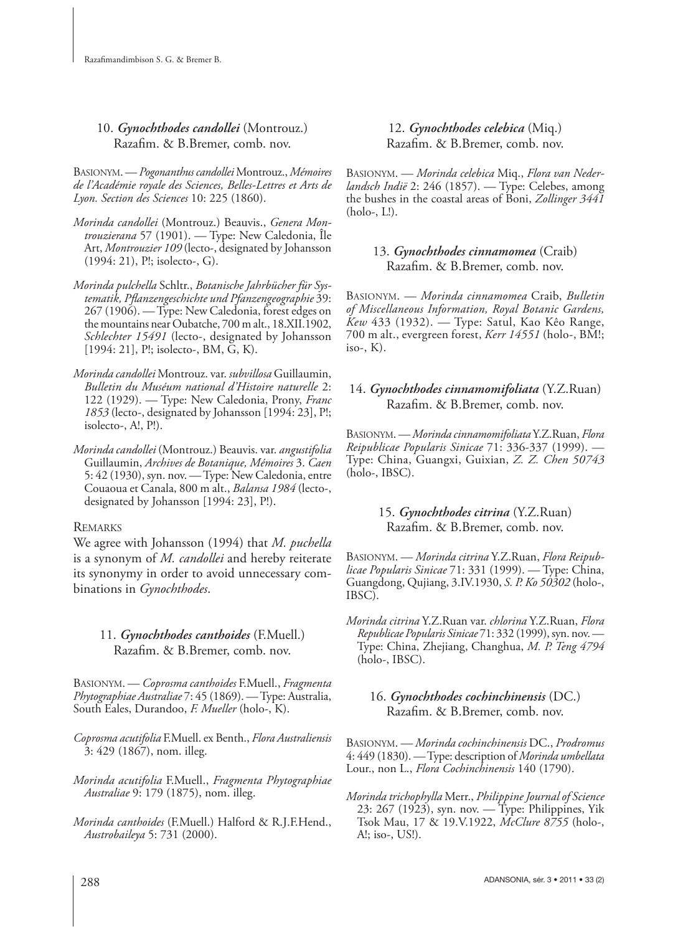10. *Gynochthodes candollei* (Montrouz.) Razafim. & B.Bremer, comb. nov.

BASIONYM. — *Pogonanthus candollei* Montrouz., *Mémoires de l'Académie royale des Sciences, Belles-Lettres et Arts de Lyon. Section des Sciences* 10: 225 (1860).

- *Morinda candollei* (Montrouz.) Beauvis., *Genera Montrouzierana* 57 (1901). — Type: New Caledonia, Île Art, *Montrouzier 109* (lecto-, designated by Johansson (1994: 21), P!; isolecto-, G).
- *Morinda pulchella* Schltr., *Botanische Jahrbücher für Systematik, Pfl anzengeschichte und Pfanzengeographie* 39: 267 (1906). — Type: New Caledonia, forest edges on the mountains near Oubatche, 700 m alt., 18.XII.1902, *Schlechter 15491* (lecto-, designated by Johansson [1994: 21], P!; isolecto-, BM, G, K).
- *Morinda candollei* Montrouz. var. *subvillosa* Guillaumin, *Bulletin du Muséum national d'Histoire naturelle* 2: 122 (1929). — Type: New Caledonia, Prony, *Franc 1853* (lecto-, designated by Johansson [1994: 23], P!; isolecto-, A!, P!).
- *Morinda candollei* (Montrouz.) Beauvis. var. *angustifolia* Guillaumin, *Archives de Botanique, Mémoires* 3. *Caen* 5: 42 (1930), syn. nov. — Type: New Caledonia, entre Couaoua et Canala, 800 m alt., *Balansa 1984* (lecto-, designated by Johansson [1994: 23], P!).

# REMARKS

We agree with Johansson (1994) that *M. puchella* is a synonym of *M. candollei* and hereby reiterate its synonymy in order to avoid unnecessary combinations in *Gynochthodes*.

# 11. *Gynochthodes canthoides* (F.Muell.) Razafim. & B.Bremer, comb. nov.

BASIONYM. — *Coprosma canthoides* F.Muell., *Fragmenta Phytographiae Australiae* 7: 45 (1869). — Type: Australia, South Eales, Durandoo, *F. Mueller* (holo-, K).

- *Coprosma acutifolia* F.Muell. ex Benth., *Flora Australiensis* 3: 429 (1867), nom. illeg.
- *Morinda acutifolia* F.Muell., *Fragmenta Phytographiae Australiae* 9: 179 (1875), nom. illeg.
- *Morinda canthoides* (F.Muell.) Halford & R.J.F.Hend., *Austrobaileya* 5: 731 (2000).

12. *Gynochthodes celebica* (Miq.) Razafim. & B.Bremer, comb. nov.

BASIONYM. — *Morinda celebica* Miq., *Flora van Nederlandsch Indië* 2: 246 (1857). — Type: Celebes, among the bushes in the coastal areas of Boni, *Zollinger 3441* (holo-, L!).

# 13. *Gynochthodes cinnamomea* (Craib) Razafim. & B.Bremer, comb. nov.

BASIONYM. — *Morinda cinnamomea* Craib, *Bulletin of Miscellaneous Information, Royal Botanic Gardens, Kew* 433 (1932). — Type: Satul, Kao Kêo Range, 700 m alt., evergreen forest, *Kerr 14551* (holo-, BM!; iso-,  $K$ ).

# 14. *Gynochthodes cinnamomifoliata* (Y.Z.Ruan) Razafim. & B.Bremer, comb. nov.

BASIONYM. — *Morinda cinnamomifoliata* Y.Z.Ruan, *Flora Reipublicae Popularis Sinicae* 71: 336-337 (1999). — Type: China, Guangxi, Guixian, *Z. Z. Chen 50743* (holo-, IBSC).

# 15. *Gynochthodes citrina* (Y.Z.Ruan) Razafim. & B.Bremer, comb. nov.

BASIONYM. — *Morinda citrina* Y.Z.Ruan, *Flora Reipublicae Popularis Sinicae* 71: 331 (1999). — Type: China, Guangdong, Qujiang, 3.IV.1930, *S. P. Ko 50302* (holo-, IBSC).

*Morinda citrina* Y.Z.Ruan var. *chlorina* Y.Z.Ruan, *Flora Republicae Popularis Sinicae* 71: 332 (1999), syn. nov. — Type: China, Zhejiang, Changhua, *M. P. Teng 4794* (holo-, IBSC).

# 16. *Gynochthodes cochinchinensis* (DC.) Razafim. & B.Bremer, comb. nov.

BASIONYM. *— Morinda cochinchinensis* DC., *Prodromus* 4: 449 (1830). — Type: description of *Morinda umbellata* Lour., non L., *Flora Cochinchinensis* 140 (1790).

*Morinda trichophylla* Merr., *Philippine Journal of Science* 23: 267 (1923), syn. nov. — Type: Philippines, Yik Tsok Mau, 17 & 19.V.1922, *McClure 8755* (holo-, A!; iso-, US!).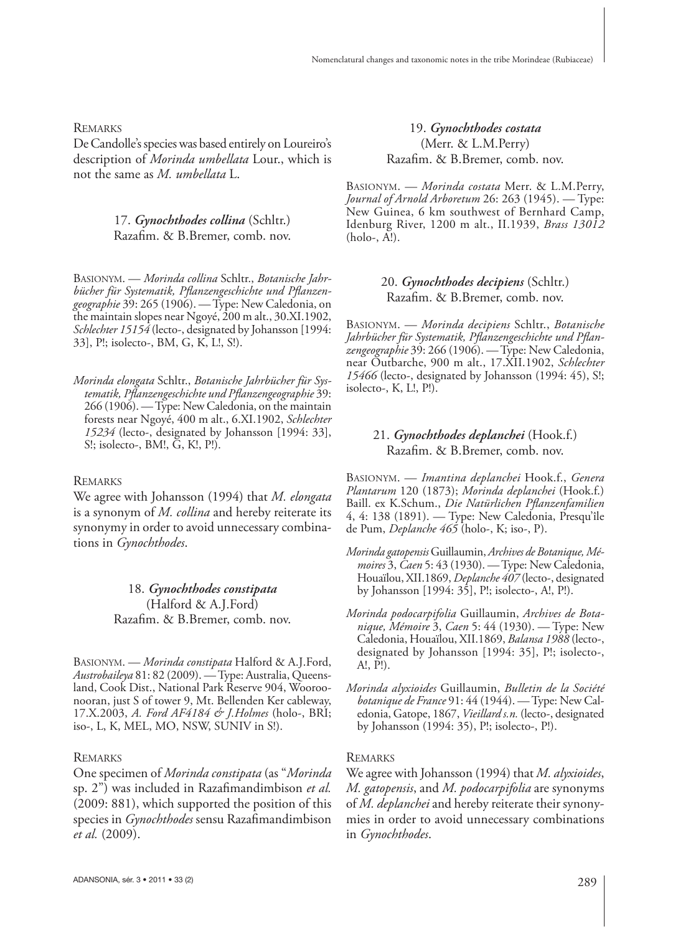**REMARKS** 

De Candolle's species was based entirely on Loureiro's description of *Morinda umbellata* Lour., which is not the same as *M. umbellata* L.

### 17. *Gynochthodes collina* (Schltr.) Razafim. & B.Bremer, comb. nov.

BASIONYM. — *Morinda collina* Schltr., *Botanische Jahr*bücher für Systematik, Pflanzengeschichte und Pflanzen*geographie* 39: 265 (1906). — Type: New Caledonia, on the maintain slopes near Ngoyé, 200 m alt., 30.XI.1902, *Schlechter 15154* (lecto-, designated by Johansson [1994: 33], P!; isolecto-, BM, G, K, L!, S!).

*Morinda elongata* Schltr., *Botanische Jahrbücher für Systematik, Pfl anzengeschichte und Pfl anzengeographie* 39: 266 (1906). — Type: New Caledonia, on the maintain forests near Ngoyé, 400 m alt., 6.XI.1902, *Schlechter 15234* (lecto-, designated by Johansson [1994: 33], S!; isolecto-, BM!, G, K!, P!).

### **REMARKS**

We agree with Johansson (1994) that *M. elongata* is a synonym of *M. collina* and hereby reiterate its synonymy in order to avoid unnecessary combinations in *Gynochthodes*.

> 18. *Gynochthodes constipata* (Halford & A.J.Ford) Razafim. & B.Bremer, comb. nov.

BASIONYM. — *Morinda constipata* Halford & A.J.Ford, *Austrobaileya* 81: 82 (2009). — Type: Australia, Queensland, Cook Dist., National Park Reserve 904, Wooroonooran, just S of tower 9, Mt. Bellenden Ker cableway, 17.X.2003, *A. Ford AF4184 & J.Holmes* (holo-, BRI; iso-, L, K, MEL, MO, NSW, SUNIV in S!).

#### REMARKS

One specimen of *Morinda constipata* (as "*Morinda* sp. 2") was included in Razafimandimbison *et al.* (2009: 881), which supported the position of this species in *Gynochthodes* sensu Razafimandimbison *et al.* (2009).

19. *Gynochthodes costata* (Merr. & L.M.Perry) Razafim. & B.Bremer, comb. nov.

BASIONYM. — *Morinda costata* Merr. & L.M.Perry, *Journal of Arnold Arboretum* 26: 263 (1945). — Type: New Guinea, 6 km southwest of Bernhard Camp, Idenburg River, 1200 m alt., II.1939, *Brass 13012* (holo-, A!).

# 20. *Gynochthodes decipiens* (Schltr.) Razafim. & B.Bremer, comb. nov.

BASIONYM. — *Morinda decipiens* Schltr., *Botanische*  Jahrbücher für Systematik, Pflanzengeschichte und Pflan*zengeographie* 39: 266 (1906). — Type: New Caledonia, near Outbarche, 900 m alt., 17.XII.1902, *Schlechter 15466* (lecto-, designated by Johansson (1994: 45), S!; isolecto-, K, L!, P!).

### 21. *Gynochthodes deplanchei* (Hook.f.) Razafim. & B.Bremer, comb. nov.

BASIONYM. — *Imantina deplanchei* Hook.f., *Genera Plantarum* 120 (1873); *Morinda deplanchei* (Hook.f.) Baill. ex K.Schum., *Die Natürlichen Pflanzenfamilien* 4, 4: 138 (1891). — Type: New Caledonia, Presqu'île de Pum, *Deplanche 465* (holo-, K; iso-, P).

- *Morinda gatopensis* Guillaumin, *Archives de Botanique, Mémoires* 3, *Caen* 5: 43 (1930). — Type: New Caledonia, Houaïlou, XII.1869, *Deplanche 407* (lecto-, designated by Johansson [1994: 35], P!; isolecto-, A!, P!).
- *Morinda podocarpifolia* Guillaumin, *Archives de Botanique, Mémoire* 3, *Caen* 5: 44 (1930). — Type: New Caledonia, Houaïlou, XII.1869, *Balansa 1988* (lecto-, designated by Johansson [1994: 35], P!; isolecto-, A!,  $\overline{P}$ !).
- *Morinda alyxioides* Guillaumin, *Bulletin de la Société botanique de France* 91: 44 (1944). — Type: New Caledonia, Gatope, 1867, *Vieillard s.n.* (lecto-, designated by Johansson (1994: 35), P!; isolecto-, P!).

#### **REMARKS**

We agree with Johansson (1994) that *M. alyxioides*, *M. gatopensis*, and *M. podocarpifolia* are synonyms of *M. deplanchei* and hereby reiterate their synonymies in order to avoid unnecessary combinations in *Gynochthodes*.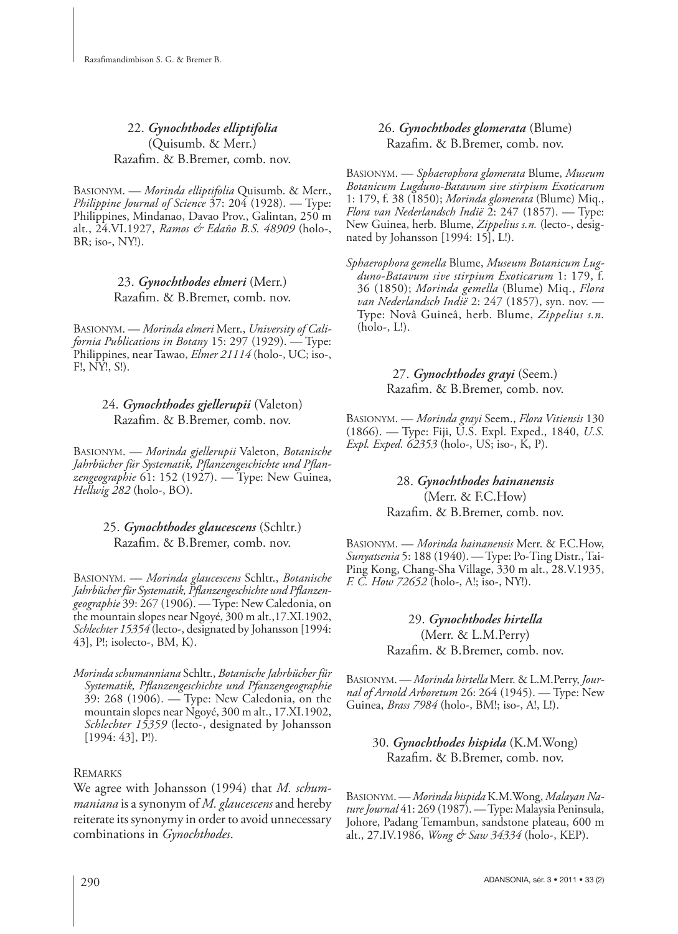22. *Gynochthodes elliptifolia* (Quisumb. & Merr.) Razafim. & B.Bremer, comb. nov.

BASIONYM. — *Morinda elliptifolia* Quisumb. & Merr., *Philippine Journal of Science* 37: 204 (1928). — Type: Philippines, Mindanao, Davao Prov., Galintan, 250 m alt., 24.VI.1927, *Ramos & Edaño B.S. 48909* (holo-, BR; iso-, NY!).

# 23. *Gynochthodes elmeri* (Merr.) Razafim. & B.Bremer, comb. nov.

BASIONYM. — *Morinda elmeri* Merr., *University of California Publications in Botany* 15: 297 (1929). — Type: Philippines, near Tawao, *Elmer 21114* (holo-, UC; iso-, F!, NY!, S!).

# 24. *Gynochthodes gjellerupii* (Valeton) Razafim. & B.Bremer, comb. nov.

BASIONYM. — *Morinda gjellerupii* Valeton, *Botanische*  Jahrbücher für Systematik, Pflanzengeschichte und Pflan*zengeographie* 61: 152 (1927). — Type: New Guinea, *Hellwig 282* (holo-, BO).

# 25. *Gynochthodes glaucescens* (Schltr.) Razafim. & B.Bremer, comb. nov.

BASIONYM. — *Morinda glaucescens* Schltr., *Botanische*  Jahrbücher für Systematik, Pflanzengeschichte und Pflanzen*geographie* 39: 267 (1906). — Type: New Caledonia, on the mountain slopes near Ngoyé, 300 m alt.,17.XI.1902, *Schlechter 15354* (lecto-, designated by Johansson [1994: 43], P!; isolecto-, BM, K).

*Morinda schumanniana* Schltr., *Botanische Jahrbücher für*  Systematik, Pflanzengeschichte und Pfanzengeographie 39: 268 (1906). — Type: New Caledonia, on the mountain slopes near Ngoyé, 300 m alt., 17.XI.1902, *Schlechter 15359* (lecto-, designated by Johansson [1994: 43], P!).

# **REMARKS**

We agree with Johansson (1994) that *M. schummaniana* is a synonym of *M. glaucescens* and hereby reiterate its synonymy in order to avoid unnecessary combinations in *Gynochthodes*.

# 26. *Gynochthodes glomerata* (Blume) Razafim. & B.Bremer, comb. nov.

BASIONYM. — *Sphaerophora glomerata* Blume, *Museum Botanicum Lugduno-Batavum sive stirpium Exoticarum* 1: 179, f. 38 (1850); *Morinda glomerata* (Blume) Miq., *Flora van Nederlandsch Indië* 2: 247 (1857). — Type: New Guinea, herb. Blume, *Zippelius s.n.* (lecto-, designated by Johansson [1994: 15], L!).

*Sphaerophora gemella* Blume, *Museum Botanicum Lugduno-Batavum sive stirpium Exoticarum* 1: 179, f. 36 (1850); *Morinda gemella* (Blume) Miq., *Flora van Nederlandsch Indië* 2: 247 (1857), syn. nov. — Type: Novâ Guineâ, herb. Blume, *Zippelius s.n.*  (holo-, L!).

# 27. *Gynochthodes grayi* (Seem.) Razafim. & B.Bremer, comb. nov.

BASIONYM. — *Morinda grayi* Seem., *Flora Vitiensis* 130 (1866). — Type: Fiji, U.S. Expl. Exped., 1840, *U.S. Expl. Exped. 62353* (holo-, US; iso-, K, P).

# 28. *Gynochthodes hainanensis* (Merr. & F.C.How) Razafim. & B.Bremer, comb. nov.

BASIONYM. — *Morinda hainanensis* Merr. & F.C.How, *Sunyatsenia* 5: 188 (1940). — Type: Po-Ting Distr., Tai-Ping Kong, Chang-Sha Village, 330 m alt., 28.V.1935, *F. C. How 72652* (holo-, A!; iso-, NY!).

> 29. *Gynochthodes hirtella* (Merr. & L.M.Perry) Razafim. & B.Bremer, comb. nov.

BASIONYM. — *Morinda hirtella* Merr. & L.M.Perry, *Journal of Arnold Arboretum* 26: 264 (1945). — Type: New Guinea, *Brass 7984* (holo-, BM!; iso-, A!, L!).

# 30. *Gynochthodes hispida* (K.M.Wong) Razafim. & B.Bremer, comb. nov.

BASIONYM. — *Morinda hispida* K.M.Wong, *Malayan Nature Journal* 41: 269 (1987). — Type: Malaysia Peninsula, Johore, Padang Temambun, sandstone plateau, 600 m alt., 27.IV.1986, *Wong & Saw 34334* (holo-, KEP).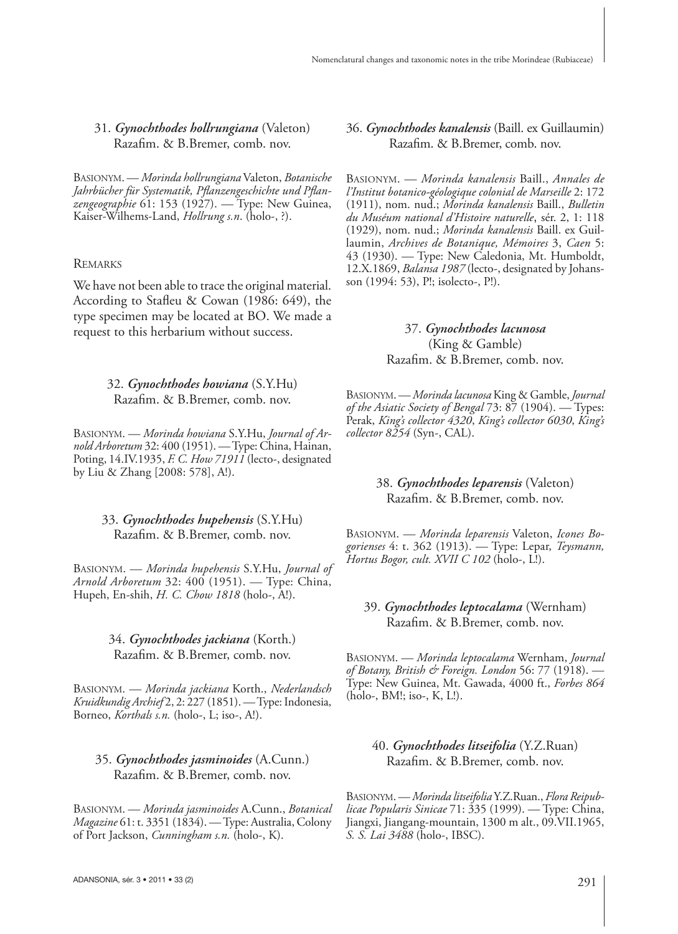### 31. *Gynochthodes hollrungiana* (Valeton) Razafim. & B.Bremer, comb. nov.

BASIONYM. — *Morinda hollrungiana* Valeton, *Botanische*  Jahrbücher für Systematik, Pflanzengeschichte und Pflan*zengeographie* 61: 153 (1927). — Type: New Guinea, Kaiser-Wilhems-Land, *Hollrung s.n*. (holo-, ?).

#### **REMARKS**

We have not been able to trace the original material. According to Stafleu & Cowan (1986: 649), the type specimen may be located at BO. We made a request to this herbarium without success.

#### 32. *Gynochthodes howiana* (S.Y.Hu) Razafim. & B.Bremer, comb. nov.

BASIONYM. — *Morinda howiana* S.Y.Hu, *Journal of Arnold Arboretum* 32: 400 (1951). — Type: China, Hainan, Poting, 14.IV.1935, *F. C. How 71911* (lecto-, designated by Liu & Zhang [2008: 578], A!).

#### 33. *Gynochthodes hupehensis* (S.Y.Hu) Razafim. & B.Bremer, comb. nov.

BASIONYM. — *Morinda hupehensis* S.Y.Hu, *Journal of Arnold Arboretum* 32: 400 (1951). — Type: China, Hupeh, En-shih, *H. C. Chow 1818* (holo-, A!).

### 34. *Gynochthodes jackiana* (Korth.) Razafim. & B.Bremer, comb. nov.

BASIONYM. — *Morinda jackiana* Korth., *Nederlandsch Kruidkundig Archief* 2, 2: 227 (1851). — Type: Indonesia, Borneo, *Korthals s.n.* (holo-, L; iso-, A!).

### 35. *Gynochthodes jasminoides* (A.Cunn.) Razafim. & B.Bremer, comb. nov.

BASIONYM. — *Morinda jasminoides* A.Cunn., *Botanical Magazine* 61: t. 3351 (1834). — Type: Australia, Colony of Port Jackson, *Cunningham s.n.* (holo-, K).

36. *Gynochthodes kanalensis* (Baill. ex Guillaumin) Razafim. & B.Bremer, comb. nov.

BASIONYM. — *Morinda kanalensis* Baill., *Annales de l'Institut botanico-géologique colonial de Marseille* 2: 172 (1911), nom. nud.; *Morinda kanalensis* Baill., *Bulletin du Muséum national d'Histoire naturelle*, sér. 2, 1: 118 (1929), nom. nud.; *Morinda kanalensis* Baill. ex Guillaumin, *Archives de Botanique, Mémoires* 3, *Caen* 5: 43 (1930). — Type: New Caledonia, Mt. Humboldt, 12.X.1869, *Balansa 1987* (lecto-, designated by Johansson (1994: 53), P!; isolecto-, P!).

### 37. *Gynochthodes lacunosa* (King & Gamble) Razafim. & B.Bremer, comb. nov.

BASIONYM. — *Morinda lacunosa* King & Gamble, *Journal of the Asiatic Society of Bengal* 73: 87 (1904). — Types: Perak, *King's collector 4320*, *King's collector 6030*, *King's collector 8254* (Syn-, CAL).

### 38. *Gynochthodes leparensis* (Valeton) Razafim. & B.Bremer, comb. nov.

BASIONYM. — *Morinda leparensis* Valeton, *Icones Bogorienses* 4: t. 362 (1913). — Type: Lepar, *Teysmann, Hortus Bogor, cult. XVII C 102* (holo-, L!).

### 39. *Gynochthodes leptocalama* (Wernham) Razafim. & B.Bremer, comb. nov.

BASIONYM. — *Morinda leptocalama* Wernham, *Journal of Botany, British & Foreign. London* 56: 77 (1918). — Type: New Guinea, Mt. Gawada, 4000 ft., *Forbes 864* (holo-, BM!; iso-, K, L!).

### 40. *Gynochthodes litseifolia* (Y.Z.Ruan) Razafim. & B.Bremer, comb. nov.

BASIONYM. — *Morinda litseifolia* Y.Z.Ruan., *Flora Reipublicae Popularis Sinicae* 71: 335 (1999). — Type: China, Jiangxi, Jiangang-mountain, 1300 m alt., 09.VII.1965, *S. S. Lai 3488* (holo-, IBSC).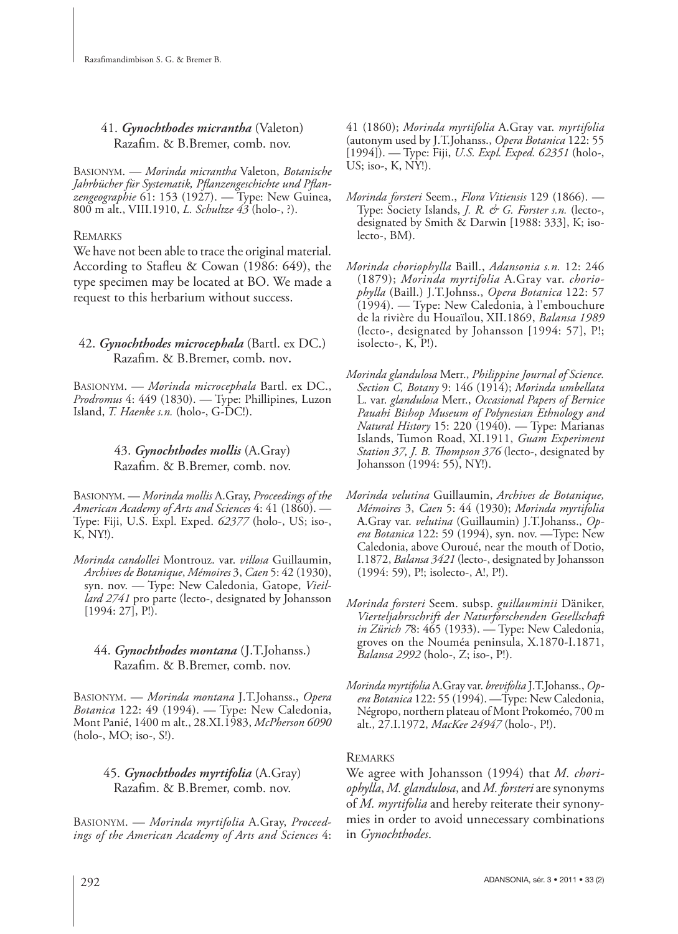# 41. *Gynochthodes micrantha* (Valeton) Razafim. & B.Bremer, comb. nov.

BASIONYM. — *Morinda micrantha* Valeton, *Botanische*  Jahrbücher für Systematik, Pflanzengeschichte und Pflan*zengeographie* 61: 153 (1927). — Type: New Guinea, 800 m alt., VIII.1910, *L. Schultze 43* (holo-, ?).

# **REMARKS**

We have not been able to trace the original material. According to Stafleu & Cowan (1986: 649), the type specimen may be located at BO. We made a request to this herbarium without success.

### 42. *Gynochthodes microcephala* (Bartl. ex DC.) Razafim. & B.Bremer, comb. nov.

BASIONYM. — *Morinda microcephala* Bartl. ex DC., *Prodromus* 4: 449 (1830). — Type: Phillipines, Luzon Island, *T. Haenke s.n.* (holo-, G-DC!).

# 43. *Gynochthodes mollis* (A.Gray) Razafim. & B.Bremer, comb. nov.

BASIONYM. — *Morinda mollis* A.Gray, *Proceedings of the American Academy of Arts and Sciences* 4: 41 (1860). — Type: Fiji, U.S. Expl. Exped. *62377* (holo-, US; iso-, K, NY!).

*Morinda candollei* Montrouz. var. *villosa* Guillaumin, *Archives de Botanique*, *Mémoires* 3, *Caen* 5: 42 (1930), syn. nov. — Type: New Caledonia, Gatope, *Vieillard 2741* pro parte (lecto-, designated by Johansson [1994: 27], P!).

# 44. *Gynochthodes montana* (J.T.Johanss.) Razafim. & B.Bremer, comb. nov.

BASIONYM. — *Morinda montana* J.T.Johanss., *Opera Botanica* 122: 49 (1994). — Type: New Caledonia, Mont Panié, 1400 m alt., 28.XI.1983, *McPherson 6090* (holo-, MO; iso-, S!).

# 45. *Gynochthodes myrtifolia* (A.Gray) Razafim. & B.Bremer, comb. nov.

BASIONYM. — *Morinda myrtifolia* A.Gray, *Proceedings of the American Academy of Arts and Sciences* 4: 41 (1860); *Morinda myrtifolia* A.Gray var. *myrtifolia*  (autonym used by J.T.Johanss., *Opera Botanica* 122: 55 [1994]). — Type: Fiji, *U.S. Expl. Exped. 62351* (holo-, US; iso-, K, NY!).

- *Morinda forsteri* Seem., *Flora Vitiensis* 129 (1866). Type: Society Islands, *J. R. & G. Forster s.n.* (lecto-, designated by Smith & Darwin [1988: 333], K; isolecto-, BM).
- *Morinda choriophylla* Baill., *Adansonia s.n.* 12: 246 (1879); *Morinda myrtifolia* A.Gray var. *choriophylla* (Baill.) J.T.Johnss., *Opera Botanica* 122: 57 (1994). — Type: New Caledonia, à l'embouchure de la rivière du Houaïlou, XII.1869, *Balansa 1989* (lecto-, designated by Johansson [1994: 57], P!; isolecto-, K, P!).
- *Morinda glandulosa* Merr., *Philippine Journal of Science. Section C, Botany* 9: 146 (1914); *Morinda umbellata* L. var. *glandulosa* Merr., *Occasional Papers of Bernice Pauahi Bishop Museum of Polynesian Ethnology and Natural History* 15: 220 (1940). — Type: Marianas Islands, Tumon Road, XI.1911, *Guam Experiment Station 37, J. B. Thompson 376* (lecto-, designated by Johansson (1994: 55), NY!).
- *Morinda velutina* Guillaumin, *Archives de Botanique, Mémoires* 3, *Caen* 5: 44 (1930); *Morinda myrtifolia* A.Gray var. *velutina* (Guillaumin) J.T.Johanss., *Opera Botanica* 122: 59 (1994), syn. nov. —Type: New Caledonia, above Ouroué, near the mouth of Dotio, I.1872, *Balansa 3421* (lecto-, designated by Johansson (1994: 59), P!; isolecto-, A!, P!).
- *Morinda forsteri* Seem. subsp. *guillauminii* Däniker, *Vierteljahrsschrift der Naturforschenden Gesellschaft in Zürich 7*8: 465 (1933). — Type: New Caledonia, groves on the Nouméa peninsula, X.1870-I.1871, *Balansa 2992* (holo-, Z; iso-, P!).
- *Morinda myrtifolia* A.Gray var. *brevifolia* J.T.Johanss., *Opera Botanica* 122: 55 (1994). —Type: New Caledonia, Négropo, northern plateau of Mont Prokoméo, 700 m alt., 27.I.1972, *MacKee 24947* (holo-, P!).

# **REMARKS**

We agree with Johansson (1994) that *M. choriophylla*, *M. glandulosa*, and *M. forsteri* are synonyms of *M. myrtifolia* and hereby reiterate their synonymies in order to avoid unnecessary combinations in *Gynochthodes*.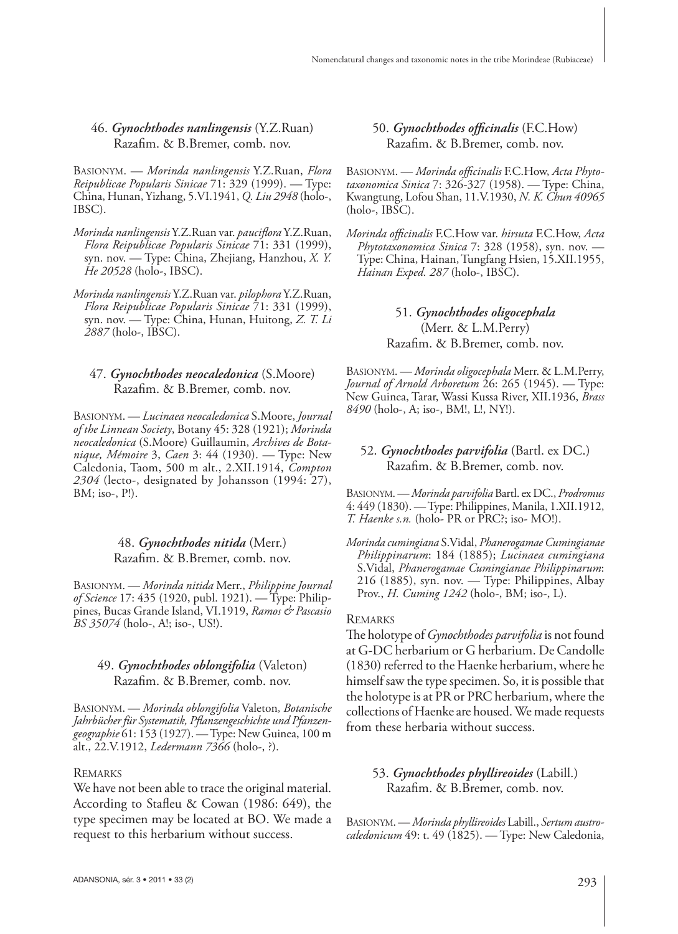#### 46. *Gynochthodes nanlingensis* (Y.Z.Ruan) Razafim. & B.Bremer, comb. nov.

BASIONYM. — *Morinda nanlingensis* Y.Z.Ruan, *Flora Reipublicae Popularis Sinicae* 71: 329 (1999). — Type: China, Hunan, Yizhang, 5.VI.1941, *Q. Liu 2948* (holo-, IBSC).

- *Morinda nanlingensis* Y.Z.Ruan var. *paucifl ora* Y.Z.Ruan, *Flora Reipublicae Popularis Sinicae* 71: 331 (1999), syn. nov. — Type: China, Zhejiang, Hanzhou, *X. Y. He 20528* (holo-, IBSC).
- *Morinda nanlingensis* Y.Z.Ruan var. *pilophora* Y.Z.Ruan, *Flora Reipublicae Popularis Sinicae* 71: 331 (1999), syn. nov. — Type: China, Hunan, Huitong, *Z. T. Li 2887* (holo-, IBSC).

### 47. *Gynochthodes neocaledonica* (S.Moore) Razafim. & B.Bremer, comb. nov.

BASIONYM. — *Lucinaea neocaledonica* S.Moore, *Journal of the Linnean Society*, Botany 45: 328 (1921); *Morinda neocaledonica* (S.Moore) Guillaumin, *Archives de Botanique, Mémoire* 3, *Caen* 3: 44 (1930). — Type: New Caledonia, Taom, 500 m alt., 2.XII.1914, *Compton 2304* (lecto-, designated by Johansson (1994: 27), BM; iso-, P!).

#### 48. *Gynochthodes nitida* (Merr.) Razafim. & B.Bremer, comb. nov.

BASIONYM. — *Morinda nitida* Merr., *Philippine Journal of Science* 17: 435 (1920, publ. 1921). — Type: Philippines, Bucas Grande Island, VI.1919, *Ramos & Pascasio BS 35074* (holo-, A!; iso-, US!).

### 49. *Gynochthodes oblongifolia* (Valeton) Razafim. & B.Bremer, comb. nov.

BASIONYM. — *Morinda oblongifolia* Valeton*, Botanische Jahrbücher für Systematik, Pfl anzengeschichte und Pfanzengeographie* 61: 153 (1927). — Type: New Guinea, 100 m alt., 22.V.1912, *Ledermann 7366* (holo-, ?).

#### REMARKS

We have not been able to trace the original material. According to Stafleu & Cowan (1986: 649), the type specimen may be located at BO. We made a request to this herbarium without success.

50. Gynochthodes officinalis (F.C.How) Razafim. & B.Bremer, comb. nov.

BASIONYM. - Morinda officinalis F.C. How, Acta Phyto*taxonomica Sinica* 7: 326-327 (1958). — Type: China, Kwangtung, Lofou Shan, 11.V.1930, *N. K. Chun 40965* (holo-, IBSC).

*Morinda offi cinalis* F.C.How var. *hirsuta* F.C.How, *Acta Phytotaxonomica Sinica* 7: 328 (1958), syn. nov. — Type: China, Hainan, Tungfang Hsien, 15.XII.1955, *Hainan Exped. 287* (holo-, IBSC).

> 51. *Gynochthodes oligocephala* (Merr. & L.M.Perry) Razafim. & B.Bremer, comb. nov.

BASIONYM. — *Morinda oligocephala* Merr. & L.M.Perry, *Journal of Arnold Arboretum* 26: 265 (1945). — Type: New Guinea, Tarar, Wassi Kussa River, XII.1936, *Brass 8490* (holo-, A; iso-, BM!, L!, NY!).

#### 52. *Gynochthodes parvifolia* (Bartl. ex DC.) Razafim. & B.Bremer, comb. nov.

BASIONYM. — *Morinda parvifolia* Bartl. ex DC., *Prodromus* 4: 449 (1830). — Type: Philippines, Manila, 1.XII.1912, *T. Haenke s.n.* (holo- PR or PRC?; iso- MO!).

*Morinda cumingiana* S.Vidal, *Phanerogamae Cumingianae Philippinarum*: 184 (1885); *Lucinaea cumingiana* S.Vidal, *Phanerogamae Cumingianae Philippinarum*: 216 (1885), syn. nov. — Type: Philippines, Albay Prov., *H. Cuming 1242* (holo-, BM; iso-, L).

#### REMARKS

The holotype of *Gynochthodes parvifolia* is not found at G-DC herbarium or G herbarium. De Candolle (1830) referred to the Haenke herbarium, where he himself saw the type specimen. So, it is possible that the holotype is at PR or PRC herbarium, where the collections of Haenke are housed. We made requests from these herbaria without success.

### 53. *Gynochthodes phyllireoides* (Labill.) Razafim. & B.Bremer, comb. nov.

BASIONYM. — *Morinda phyllireoides* Labill., *Sertum austrocaledonicum* 49: t. 49 (1825). — Type: New Caledonia,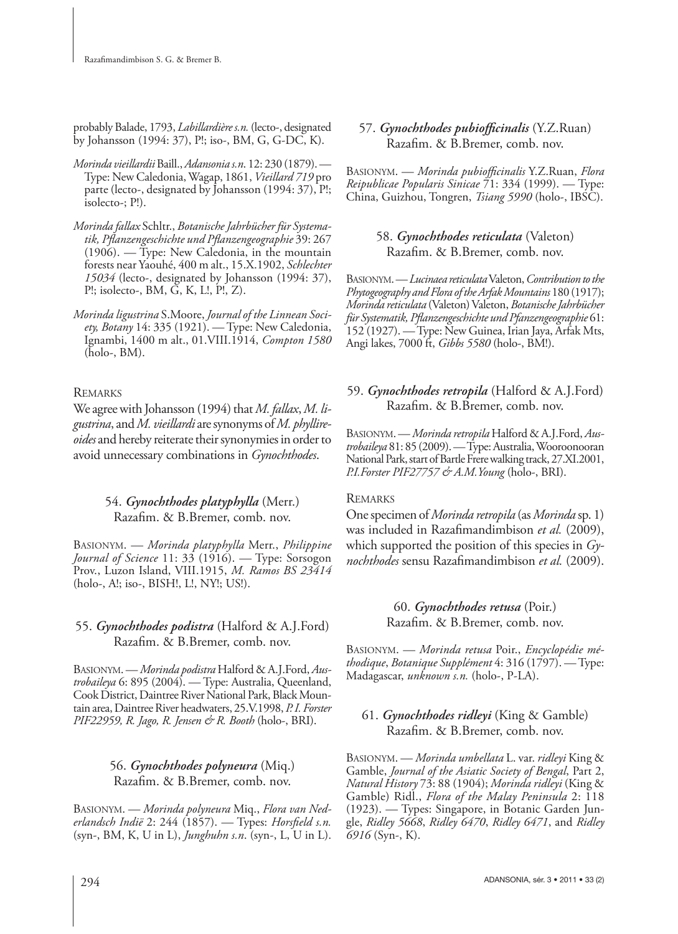probably Balade, 1793, *Labillardière s.n.* (lecto-, designated by Johansson (1994: 37), P!; iso-, BM, G, G-DC, K).

- *Morinda vieillardii* Baill., *Adansonia s.n*. 12: 230 (1879). Type: New Caledonia, Wagap, 1861, *Vieillard 719* pro parte (lecto-, designated by Johansson (1994: 37), P!; isolecto-; P!).
- *Morinda fallax* Schltr., *Botanische Jahrbücher für Systematik, Pfl anzengeschichte und Pfl anzengeographie* 39: 267 (1906). — Type: New Caledonia, in the mountain forests near Yaouhé, 400 m alt., 15.X.1902, *Schlechter 15034* (lecto-, designated by Johansson (1994: 37), P!; isolecto-, BM, G, K, L!, P!, Z).
- *Morinda ligustrina* S.Moore, *Journal of the Linnean Society, Botany* 14: 335 (1921). — Type: New Caledonia, Ignambi, 1400 m alt., 01.VIII.1914, *Compton 1580* (holo-, BM).

### REMARKS

We agree with Johansson (1994) that *M. fallax*, *M. ligustrina*, and *M. vieillardi* are synonyms of *M. phyllireoides* and hereby reiterate their synonymies in order to avoid unnecessary combinations in *Gynochthodes*.

### 54. *Gynochthodes platyphylla* (Merr.) Razafim. & B.Bremer, comb. nov.

BASIONYM. — *Morinda platyphylla* Merr., *Philippine Journal of Science* 11: 33 (1916). — Type: Sorsogon Prov., Luzon Island, VIII.1915, *M. Ramos BS 23414* (holo-, A!; iso-, BISH!, L!, NY!; US!).

# 55. *Gynochthodes podistra* (Halford & A.J.Ford) Razafim. & B.Bremer, comb. nov.

BASIONYM. — *Morinda podistra* Halford & A.J.Ford, *Austrobaileya* 6: 895 (2004). — Type: Australia, Queenland, Cook District, Daintree River National Park, Black Mountain area, Daintree River headwaters, 25.V.1998, *P. I. Forster PIF22959, R. Jago, R. Jensen & R. Booth* (holo-, BRI).

# 56. *Gynochthodes polyneura* (Miq.) Razafim. & B.Bremer, comb. nov.

BASIONYM. — *Morinda polyneura* Miq., *Flora van Nederlandsch Indië* 2: 244 (1857). — Types: *Horsfield s.n.* (syn-, BM, K, U in L), *Junghuhn s.n*. (syn-, L, U in L).

### 57. Gynochthodes pubiofficinalis (Y.Z.Ruan) Razafim. & B.Bremer, comb. nov.

BASIONYM. — *Morinda pubiofficinalis* Y.Z.Ruan, *Flora Reipublicae Popularis Sinicae* 71: 334 (1999). — Type: China, Guizhou, Tongren, *Tsiang 5990* (holo-, IBSC).

### 58. *Gynochthodes reticulata* (Valeton) Razafim. & B.Bremer, comb. nov.

BASIONYM. — *Lucinaea reticulata* Valeton, *Contribution to the Phytogeography and Flora of the Arfak Mountains* 180 (1917); *Morinda reticulata* (Valeton) Valeton, *Botanische Jahrbücher für Systematik, Pfl anzengeschichte und Pfanzengeographie* 61: 152 (1927). — Type: New Guinea, Irian Jaya, Arfak Mts, Angi lakes, 7000 ft, *Gibbs 5580* (holo-, BM!).

# 59. *Gynochthodes retropila* (Halford & A.J.Ford) Razafim. & B.Bremer, comb. nov.

BASIONYM. — *Morinda retropila* Halford & A.J.Ford, *Austrobaileya* 81: 85 (2009). — Type: Australia, Wooroonooran National Park, start of Bartle Frere walking track, 27.XI.2001, *P.I.Forster PIF27757 & A.M.Young* (holo-, BRI).

### **REMARKS**

One specimen of *Morinda retropila* (as *Morinda* sp. 1) was included in Razafimandimbison *et al.* (2009), which supported the position of this species in *Gynochthodes* sensu Razafimandimbison et al. (2009).

# 60. *Gynochthodes retusa* (Poir.) Razafim. & B.Bremer, comb. nov.

BASIONYM. — *Morinda retusa* Poir., *Encyclopédie méthodique*, *Botanique Supplément* 4: 316 (1797). — Type: Madagascar, *unknown s.n.* (holo-, P-LA).

# 61. *Gynochthodes ridleyi* (King & Gamble) Razafim. & B.Bremer, comb. nov.

BASIONYM. — *Morinda umbellata* L. var. *ridleyi* King & Gamble, *Journal of the Asiatic Society of Bengal*, Part 2, *Natural History* 73: 88 (1904); *Morinda ridleyi* (King & Gamble) Ridl., *Flora of the Malay Peninsula* 2: 118 (1923). — Types: Singapore, in Botanic Garden Jungle, *Ridley 5668*, *Ridley 6470*, *Ridley 6471*, and *Ridley 6916* (Syn-, K).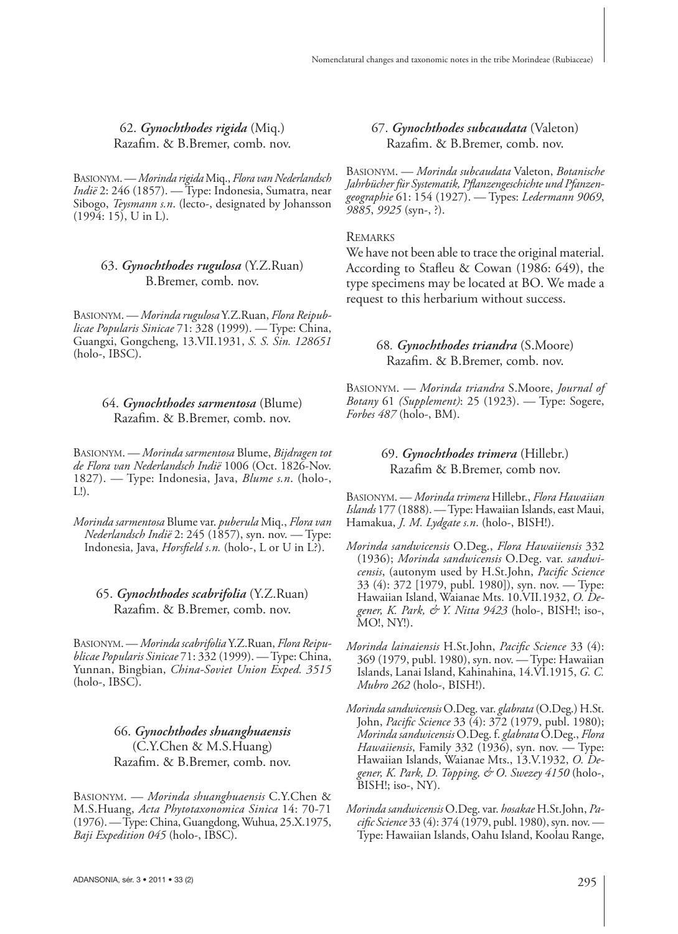62. *Gynochthodes rigida* (Miq.) Razafim. & B.Bremer, comb. nov.

BASIONYM. — *Morinda rigida* Miq., *Flora van Nederlandsch Indië* 2: 246 (1857). — Type: Indonesia, Sumatra, near Sibogo, *Teysmann s.n*. (lecto-, designated by Johansson  $(1994: 15)$ , U in L).

# 63. *Gynochthodes rugulosa* (Y.Z.Ruan) B.Bremer, comb. nov.

BASIONYM. — *Morinda rugulosa* Y.Z.Ruan, *Flora Reipublicae Popularis Sinicae* 71: 328 (1999). — Type: China, Guangxi, Gongcheng, 13.VII.1931, *S. S. Sin. 128651* (holo-, IBSC).

### 64. *Gynochthodes sarmentosa* (Blume) Razafim. & B.Bremer, comb. nov.

BASIONYM. — *Morinda sarmentosa* Blume, *Bijdragen tot de Flora van Nederlandsch Indië* 1006 (Oct. 1826-Nov. 1827). — Type: Indonesia, Java, *Blume s.n*. (holo-, L!).

*Morinda sarmentosa* Blume var. *puberula* Miq., *Flora van Nederlandsch Indië* 2: 245 (1857), syn. nov. — Type: Indonesia, Java, *Horsfield s.n.* (holo-, L or U in L?).

### 65. *Gynochthodes scabrifolia* (Y.Z.Ruan) Razafim. & B.Bremer, comb. nov.

BASIONYM. — *Morinda scabrifolia* Y.Z.Ruan, *Flora Reipublicae Popularis Sinicae* 71: 332 (1999). — Type: China, Yunnan, Bingbian, *China-Soviet Union Exped. 3515* (holo-, IBSC).

> 66. *Gynochthodes shuanghuaensis* (C.Y.Chen & M.S.Huang) Razafim. & B.Bremer, comb. nov.

BASIONYM. — *Morinda shuanghuaensis* C.Y.Chen & M.S.Huang, *Acta Phytotaxonomica Sinica* 14: 70-71 (1976). — Type: China, Guangdong, Wuhua, 25.X.1975, *Baji Expedition 045* (holo-, IBSC).

67. *Gynochthodes subcaudata* (Valeton) Razafim. & B.Bremer, comb. nov.

BASIONYM. — *Morinda subcaudata* Valeton, *Botanische*  Jahrbücher für Systematik, Pflanzengeschichte und Pfanzen*geographie* 61: 154 (1927). — Types: *Ledermann 9069*, *9885*, *9925* (syn-, ?).

### **REMARKS**

We have not been able to trace the original material. According to Stafleu & Cowan (1986: 649), the type specimens may be located at BO. We made a request to this herbarium without success.

### 68*. Gynochthodes triandra* (S.Moore) Razafim. & B.Bremer, comb. nov.

BASIONYM. — *Morinda triandra* S.Moore, *Journal of Botany* 61 *(Supplement)*: 25 (1923). — Type: Sogere, *Forbes 487* (holo-, BM).

### 69. *Gynochthodes trimera* (Hillebr.) Razafim & B.Bremer, comb nov.

BASIONYM. — *Morinda trimera* Hillebr., *Flora Hawaiian Islands* 177 (1888). — Type: Hawaiian Islands, east Maui, Hamakua, *J. M. Lydgate s.n*. (holo-, BISH!).

- *Morinda sandwicensis* O.Deg., *Flora Hawaiiensis* 332 (1936); *Morinda sandwicensis* O.Deg. var. *sandwicensis*, (autonym used by H.St.John, *Pacific Science* 33 (4): 372 [1979, publ. 1980]), syn. nov. — Type: Hawaiian Island, Waianae Mts. 10.VII.1932, *O. Degener, K. Park, & Y. Nitta 9423* (holo-, BISH!; iso-, MO!, NY!).
- *Morinda lainaiensis* H.St.John, *Pacific Science* 33 (4): 369 (1979, publ. 1980), syn. nov. — Type: Hawaiian Islands, Lanai Island, Kahinahina, 14.VI.1915, *G. C. Mubro 262* (holo-, BISH!).
- *Morinda sandwicensis* O.Deg. var. *glabrata* (O.Deg.) H.St. John, *Pacific Science* 33 (4): 372 (1979, publ. 1980); *Morinda sandwicensis* O.Deg. f. *glabrata* O.Deg., *Flora Hawaiiensis*, Family 332 (1936), syn. nov. — Type: Hawaiian Islands, Waianae Mts., 13.V.1932, *O. Degener, K. Park, D. Topping, & O. Swezey 4150* (holo-, BISH!; iso-, NY).
- *Morinda sandwicensis* O.Deg. var. *hosakae* H.St.John, *Pacific Science* 33 (4): 374 (1979, publ. 1980), syn. nov. — Type: Hawaiian Islands, Oahu Island, Koolau Range,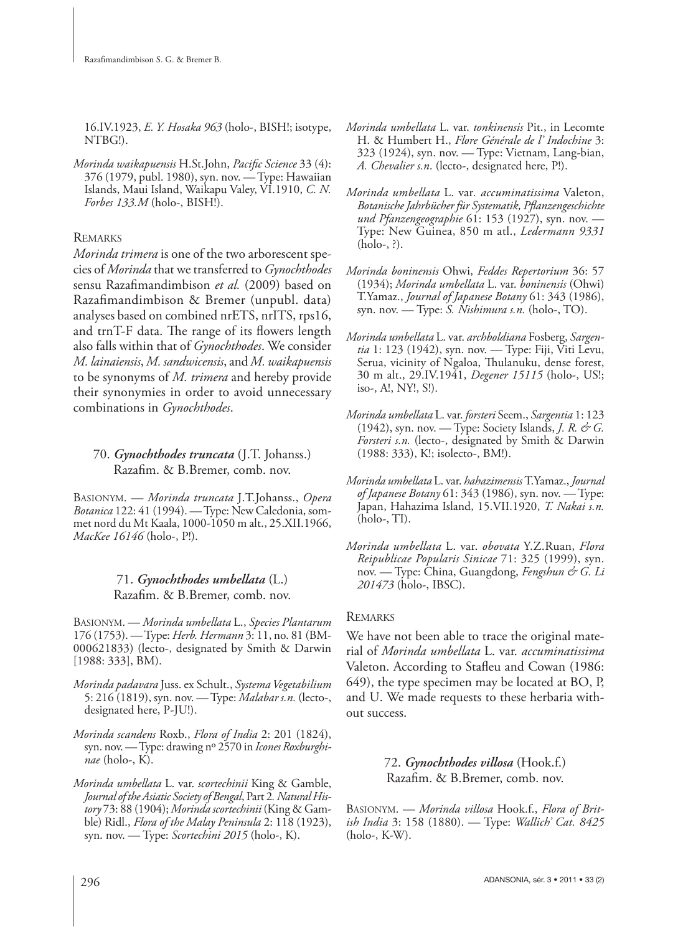16.IV.1923, *E. Y. Hosaka 963* (holo-, BISH!; isotype, NTBG!).

*Morinda waikapuensis* H.St.John, *Pacific Science* 33 (4): 376 (1979, publ. 1980), syn. nov. — Type: Hawaiian Islands, Maui Island, Waikapu Valey, VI.1910, *C. N. Forbes 133.M* (holo-, BISH!).

# **REMARKS**

*Morinda trimera* is one of the two arborescent species of *Morinda* that we transferred to *Gynochthodes* sensu Razafimandimbison *et al.* (2009) based on Razafimandimbison & Bremer (unpubl. data) analyses based on combined nrETS, nrITS, rps16, and trnT-F data. The range of its flowers length also falls within that of *Gynochthodes*. We consider *M. lainaiensis*, *M. sandwicensis*, and *M. waikapuensis*  to be synonyms of *M. trimera* and hereby provide their synonymies in order to avoid unnecessary combinations in *Gynochthodes*.

70. *Gynochthodes truncata* (J.T. Johanss.) Razafim. & B.Bremer, comb. nov.

BASIONYM. — *Morinda truncata* J.T.Johanss., *Opera Botanica* 122: 41 (1994). — Type: New Caledonia, sommet nord du Mt Kaala, 1000-1050 m alt., 25.XII.1966, *MacKee 16146* (holo-, P!).

# 71. *Gynochthodes umbellata* (L.) Razafim. & B.Bremer, comb. nov.

BASIONYM. — *Morinda umbellata* L., *Species Plantarum* 176 (1753). — Type: *Herb. Hermann* 3: 11, no. 81 (BM-000621833) (lecto-, designated by Smith & Darwin [1988: 333], BM).

- *Morinda padavara* Juss. ex Schult., *Systema Vegetabilium* 5: 216 (1819), syn. nov. — Type: *Malabar s.n.* (lecto-, designated here, P-JU!).
- *Morinda scandens* Roxb., *Flora of India* 2: 201 (1824), syn. nov. — Type: drawing nº 2570 in *Icones Roxburghinae* (holo-, K).
- *Morinda umbellata* L. var. *scortechinii* King & Gamble, *Journal of the Asiatic Society of Bengal*, Part 2*. Natural History* 73: 88 (1904); *Morinda scortechinii* (King & Gamble) Ridl., *Flora of the Malay Peninsula* 2: 118 (1923), syn. nov. — Type: *Scortechini 2015* (holo-, K).
- *Morinda umbellata* L. var. *tonkinensis* Pit., in Lecomte H. & Humbert H., *Flore Générale de l' Indochine* 3: 323 (1924), syn. nov. — Type: Vietnam, Lang-bian, *A. Chevalier s.n*. (lecto-, designated here, P!).
- *Morinda umbellata* L. var*. accuminatissima* Valeton, *Botanische Jahrbücher für Systematik, Pfl anzengeschichte und Pfanzengeographie* 61: 153 (1927), syn. nov. — Type: New Guinea, 850 m atl., *Ledermann 9331* (holo-, ?).
- *Morinda boninensis* Ohwi, *Feddes Repertorium* 36: 57 (1934); *Morinda umbellata* L. var. *boninensis* (Ohwi) T.Yamaz., *Journal of Japanese Botany* 61: 343 (1986), syn. nov. — Type: *S. Nishimura s.n.* (holo-, TO).
- *Morinda umbellata* L. var. *archboldiana* Fosberg, *Sargentia* 1: 123 (1942), syn. nov. — Type: Fiji, Viti Levu, Serua, vicinity of Ngaloa, Thulanuku, dense forest, 30 m alt., 29.IV.1941, *Degener 15115* (holo-, US!; iso-, A!, NY!, S!).
- *Morinda umbellata* L. var. *forsteri* Seem., *Sargentia* 1: 123 (1942), syn. nov. — Type: Society Islands, *J. R. & G. Forsteri s.n.* (lecto-, designated by Smith & Darwin (1988: 333), K!; isolecto-, BM!).
- *Morinda umbellata* L. var. *hahazimensis* T.Yamaz., *Journal of Japanese Botany* 61: 343 (1986), syn. nov. — Type: Japan, Hahazima Island, 15.VII.1920, *T. Nakai s.n.* (holo-, TI).
- *Morinda umbellata* L. var. *obovata* Y.Z.Ruan, *Flora Reipublicae Popularis Sinicae* 71: 325 (1999), syn. nov. — Type: China, Guangdong, *Fengshun & G. Li 201473* (holo-, IBSC).

# **REMARKS**

We have not been able to trace the original material of *Morinda umbellata* L. var. *accuminatissima* Valeton. According to Stafleu and Cowan (1986: 649), the type specimen may be located at BO, P, and U. We made requests to these herbaria without success.

> 72. *Gynochthodes villosa* (Hook.f.) Razafim. & B.Bremer, comb. nov.

BASIONYM. — *Morinda villosa* Hook.f., *Flora of British India* 3: 158 (1880). — Type: *Wallich' Cat. 8425* (holo-, K-W).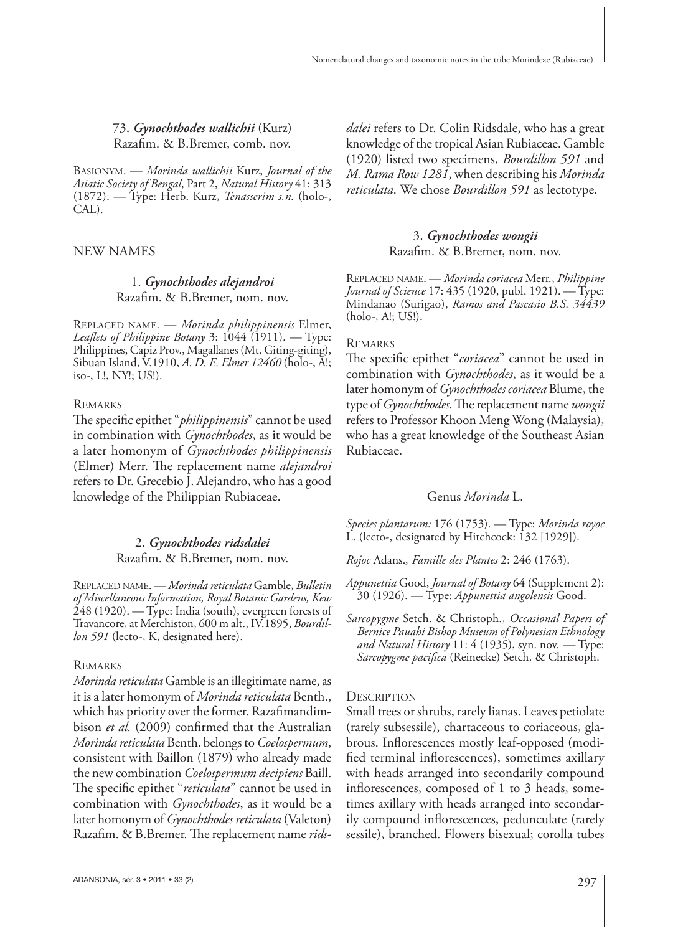### 73**.** *Gynochthodes wallichii* (Kurz) Razafim. & B.Bremer, comb. nov.

BASIONYM. — *Morinda wallichii* Kurz, *Journal of the Asiatic Society of Bengal*, Part 2, *Natural History* 41: 313 (1872). — Type: Herb. Kurz, *Tenasserim s.n.* (holo-, CAL).

#### NEW NAMES

#### 1. *Gynochthodes alejandroi* Razafim. & B.Bremer, nom. nov.

REPLACED NAME. — *Morinda philippinensis* Elmer, *Leaflets of Philippine Botany* 3: 1044 (1911). — Type: Philippines, Capiz Prov., Magallanes (Mt. Giting-giting), Sibuan Island, V.1910, *A. D. E. Elmer 12460* (holo-, A!; iso-, L!, NY!; US!).

#### **REMARKS**

The specific epithet "*philippinensis*" cannot be used in combination with *Gynochthodes*, as it would be a later homonym of *Gynochthodes philippinensis*  (Elmer) Merr. The replacement name *alejandroi* refers to Dr. Grecebio J. Alejandro, who has a good knowledge of the Philippian Rubiaceae.

### 2. *Gynochthodes ridsdalei* Razafim. & B.Bremer, nom. nov.

REPLACED NAME. — *Morinda reticulata* Gamble, *Bulletin of Miscellaneous Information, Royal Botanic Gardens, Kew* 248 (1920). — Type: India (south), evergreen forests of Travancore, at Merchiston, 600 m alt., IV.1895, *Bourdillon 591* (lecto-, K, designated here).

#### REMARKS

*Morinda reticulata* Gamble is an illegitimate name, as it is a later homonym of *Morinda reticulata* Benth., which has priority over the former. Razafimandimbison *et al.* (2009) confirmed that the Australian *Morinda reticulata* Benth. belongs to *Coelospermum*, consistent with Baillon (1879) who already made the new combination *Coelospermum decipiens* Baill. The specific epithet "*reticulata*" cannot be used in combination with *Gynochthodes*, as it would be a later homonym of *Gynochthodes reticulata* (Valeton) Razafim. & B.Bremer. The replacement name *rids*- *dalei* refers to Dr. Colin Ridsdale, who has a great knowledge of the tropical Asian Rubiaceae. Gamble (1920) listed two specimens, *Bourdillon 591* and *M. Rama Row 1281*, when describing his *Morinda reticulata*. We chose *Bourdillon 591* as lectotype.

### 3. *Gynochthodes wongii* Razafim. & B.Bremer, nom. nov.

REPLACED NAME. — *Morinda coriacea* Merr., *Philippine Journal of Science* 17: 435 (1920, publ. 1921). — Type: Mindanao (Surigao), *Ramos and Pascasio B.S. 34439* (holo-, A!; US!).

#### **REMARKS**

The specific epithet "*coriacea*" cannot be used in combination with *Gynochthodes*, as it would be a later homonym of *Gynochthodes coriacea* Blume, the type of *Gynochthodes*. The replacement name *wongii* refers to Professor Khoon Meng Wong (Malaysia), who has a great knowledge of the Southeast Asian Rubiaceae.

#### Genus *Morinda* L.

*Species plantarum:* 176 (1753). — Type: *Morinda royoc* L. (lecto-, designated by Hitchcock: 132 [1929]).

*Rojoc* Adans.*, Famille des Plantes* 2: 246 (1763).

*Appunettia* Good, *Journal of Botany* 64 (Supplement 2): 30 (1926). — Type: *Appunettia angolensis* Good.

*Sarcopygme* Setch. & Christoph., *Occasional Papers of Bernice Pauahi Bishop Museum of Polynesian Ethnology and Natural History* 11: 4 (1935), syn. nov. — Type: *Sarcopygme pacifica* (Reinecke) Setch. & Christoph.

#### **DESCRIPTION**

Small trees or shrubs, rarely lianas. Leaves petiolate (rarely subsessile), chartaceous to coriaceous, glabrous. Inflorescences mostly leaf-opposed (modified terminal inflorescences), sometimes axillary with heads arranged into secondarily compound inflorescences, composed of  $1$  to  $3$  heads, sometimes axillary with heads arranged into secondarily compound inflorescences, pedunculate (rarely sessile), branched. Flowers bisexual; corolla tubes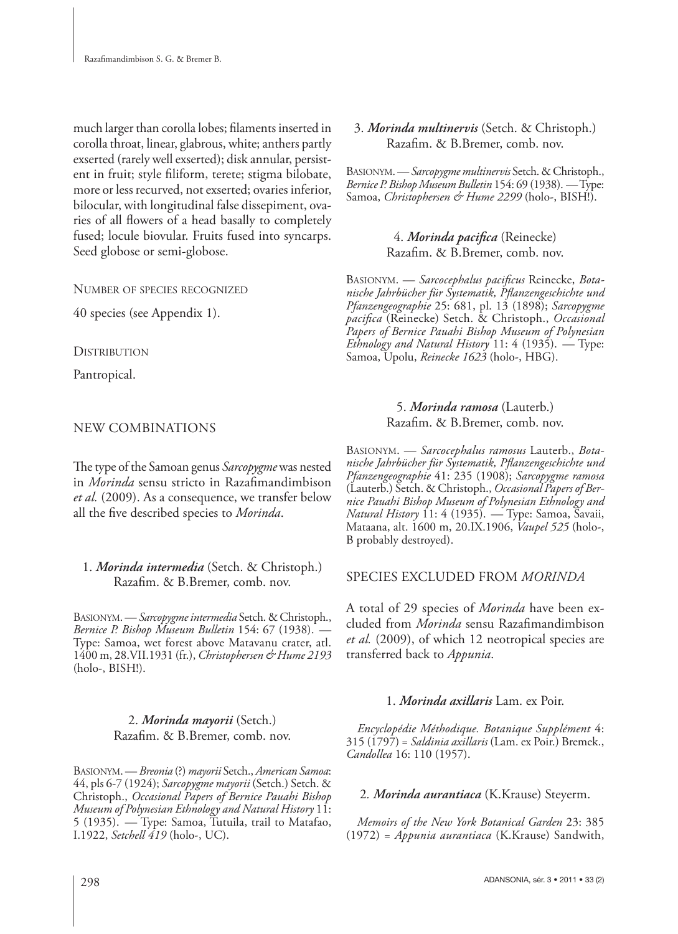much larger than corolla lobes; filaments inserted in corolla throat, linear, glabrous, white; anthers partly exserted (rarely well exserted); disk annular, persistent in fruit; style filiform, terete; stigma bilobate, more or less recurved, not exserted; ovaries inferior, bilocular, with longitudinal false dissepiment, ovaries of all flowers of a head basally to completely fused; locule biovular. Fruits fused into syncarps. Seed globose or semi-globose.

NUMBER OF SPECIES RECOGNIZED

40 species (see Appendix 1).

**DISTRIBUTION** 

Pantropical.

# NEW COMBINATIONS

The type of the Samoan genus *Sarcopygme* was nested in *Morinda* sensu stricto in Razafimandimbison *et al.* (2009). As a consequence, we transfer below all the five described species to *Morinda*.

# 1. *Morinda intermedia* (Setch. & Christoph.) Razafim. & B.Bremer, comb. nov.

BASIONYM. — *Sarcopygme intermedia* Setch. & Christoph., *Bernice P. Bishop Museum Bulletin* 154: 67 (1938). — Type: Samoa, wet forest above Matavanu crater, atl. 1400 m, 28.VII.1931 (fr.), *Christophersen & Hume 2193* (holo-, BISH!).

# 2. *Morinda mayorii* (Setch.) Razafim. & B.Bremer, comb. nov.

BASIONYM. — *Breonia* (?) *mayorii* Setch., *American Samoa*: 44, pls 6-7 (1924); *Sarcopygme mayorii* (Setch.) Setch. & Christoph., *Occasional Papers of Bernice Pauahi Bishop Museum of Polynesian Ethnology and Natural History* 11: 5 (1935). — Type: Samoa, Tutuila, trail to Matafao, I.1922, *Setchell 419* (holo-, UC).

# 3. *Morinda multinervis* (Setch. & Christoph.) Razafim. & B.Bremer, comb. nov.

BASIONYM. — *Sarcopygme multinervis* Setch. & Christoph., *Bernice P. Bishop Museum Bulletin* 154: 69 (1938). — Type: Samoa, *Christophersen & Hume 2299* (holo-, BISH!).

# 4. Morinda pacifica (Reinecke) Razafim. & B.Bremer, comb. nov.

BASIONYM. — *Sarcocephalus pacificus* Reinecke, *Botanische Jahrbücher für Systematik, Pfl anzengeschichte und Pfanzengeographie* 25: 681, pl. 13 (1898); *Sarcopygme pacifi ca* (Reinecke) Setch. & Christoph., *Occasional Papers of Bernice Pauahi Bishop Museum of Polynesian Ethnology and Natural History* 11: 4 (1935). — Type: Samoa, Upolu, *Reinecke 1623* (holo-, HBG).

### 5. *Morinda ramosa* (Lauterb.) Razafim. & B.Bremer, comb. nov.

BASIONYM. — *Sarcocephalus ramosus* Lauterb., *Botanische Jahrbücher für Systematik, Pfl anzengeschichte und Pfanzengeographie* 41: 235 (1908); *Sarcopygme ramosa* (Lauterb.) Setch. & Christoph., *Occasional Papers of Bernice Pauahi Bishop Museum of Polynesian Ethnology and Natural History* 11: 4 (1935). — Type: Samoa, Savaii, Mataana, alt. 1600 m, 20.IX.1906, *Vaupel 525* (holo-, B probably destroyed).

# SPECIES EXCLUDED FROM *MORINDA*

A total of 29 species of *Morinda* have been excluded from *Morinda* sensu Razafimandimbison *et al.* (2009), of which 12 neotropical species are transferred back to *Appunia*.

# 1. *Morinda axillaris* Lam. ex Poir.

*Encyclopédie Méthodique. Botanique Supplément* 4: 315 (1797) = *Saldinia axillaris* (Lam. ex Poir.) Bremek., *Candollea* 16: 110 (1957).

# 2*. Morinda aurantiaca* (K.Krause) Steyerm.

*Memoirs of the New York Botanical Garden* 23: 385 (1972) = *Appunia aurantiaca* (K.Krause) Sandwith,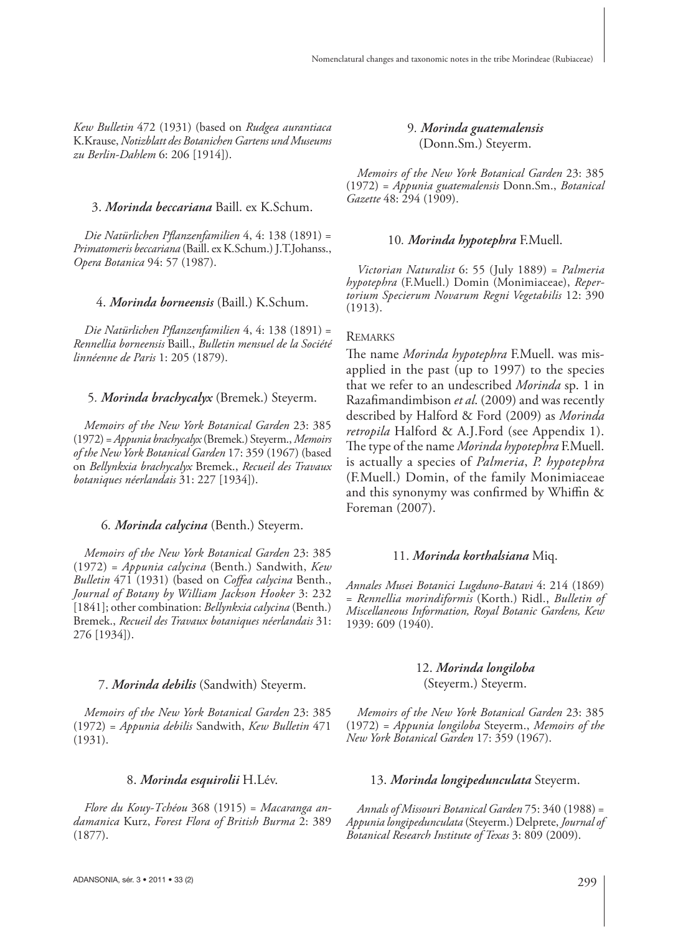*Kew Bulletin* 472 (1931) (based on *Rudgea aurantiaca* K.Krause, *Notizblatt des Botanichen Gartens und Museums zu Berlin-Dahlem* 6: 206 [1914]).

#### 3. *Morinda beccariana* Baill. ex K.Schum.

*Die Natürlichen Pfl anzenfamilien* 4, 4: 138 (1891) = *Primatomeris beccariana* (Baill. ex K.Schum.) J.T.Johanss., *Opera Botanica* 94: 57 (1987).

#### 4. *Morinda borneensis* (Baill.) K.Schum.

Die Natürlichen Pflanzenfamilien 4, 4: 138 (1891) = *Rennellia borneensis* Baill., *Bulletin mensuel de la Société linnéenne de Paris* 1: 205 (1879).

#### 5*. Morinda brachycalyx* (Bremek.) Steyerm.

*Memoirs of the New York Botanical Garden* 23: 385 (1972) = *Appunia brachycalyx* (Bremek.) Steyerm., *Memoirs of the New York Botanical Garden* 17: 359 (1967) (based on *Bellynkxia brachycalyx* Bremek., *Recueil des Travaux botaniques néerlandais* 31: 227 [1934]).

#### 6*. Morinda calycina* (Benth.) Steyerm.

*Memoirs of the New York Botanical Garden* 23: 385 (1972) = *Appunia calycina* (Benth.) Sandwith, *Kew Bulletin* 471 (1931) (based on *Coffea calycina* Benth., *Journal of Botany by William Jackson Hooker* 3: 232 [1841]; other combination: *Bellynkxia calycina* (Benth.) Bremek., *Recueil des Travaux botaniques néerlandais* 31: 276 [1934]).

#### 7. *Morinda debilis* (Sandwith) Steyerm.

*Memoirs of the New York Botanical Garden* 23: 385 (1972) = *Appunia debilis* Sandwith, *Kew Bulletin* 471 (1931).

#### 8. *Morinda esquirolii* H.Lév.

*Flore du Kouy-Tchéou* 368 (1915) = *Macaranga andamanica* Kurz, *Forest Flora of British Burma* 2: 389 (1877).

#### 9*. Morinda guatemalensis* (Donn.Sm.) Steyerm.

*Memoirs of the New York Botanical Garden* 23: 385 (1972) = *Appunia guatemalensis* Donn.Sm., *Botanical Gazette* 48: 294 (1909).

### 10*. Morinda hypotephra* F.Muell.

*Victorian Naturalist* 6: 55 (July 1889) = *Palmeria hypotephra* (F.Muell.) Domin (Monimiaceae), *Repertorium Specierum Novarum Regni Vegetabilis* 12: 390 (1913).

#### REMARKS

The name *Morinda hypotephra* F.Muell. was misapplied in the past (up to 1997) to the species that we refer to an undescribed *Morinda* sp. 1 in Razafimandimbison et al. (2009) and was recently described by Halford & Ford (2009) as *Morinda retropila* Halford & A.J.Ford (see Appendix 1). The type of the name *Morinda hypotephra* F.Muell. is actually a species of *Palmeria*, *P. hypotephra* (F.Muell.) Domin, of the family Monimiaceae and this synonymy was confirmed by Whiffin  $&$ Foreman (2007).

#### 11. *Morinda korthalsiana* Miq.

*Annales Musei Botanici Lugduno-Batavi* 4: 214 (1869) = *Rennellia morindiformis* (Korth.) Ridl., *Bulletin of Miscellaneous Information, Royal Botanic Gardens, Kew* 1939: 609 (1940).

#### 12. *Morinda longiloba*

(Steyerm.) Steyerm.

*Memoirs of the New York Botanical Garden* 23: 385 (1972) = *Appunia longiloba* Steyerm., *Memoirs of the New York Botanical Garden* 17: 359 (1967).

#### 13. *Morinda longipedunculata* Steyerm.

*Annals of Missouri Botanical Garden* 75: 340 (1988) = *Appunia longipedunculata* (Steyerm.) Delprete, *Journal of Botanical Research Institute of Texas* 3: 809 (2009).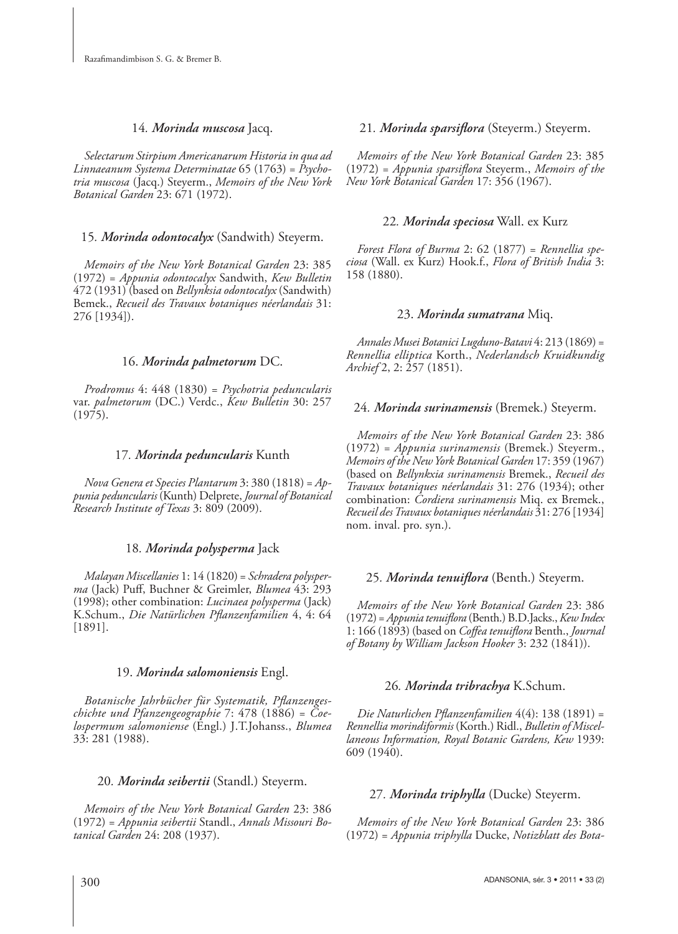#### 14*. Morinda muscosa* Jacq.

*Selectarum Stirpium Americanarum Historia in qua ad Linnaeanum Systema Determinatae* 65 (1763) = *Psychotria muscosa* (Jacq.) Steyerm., *Memoirs of the New York Botanical Garden* 23: 671 (1972).

#### 15*. Morinda odontocalyx* (Sandwith) Steyerm.

*Memoirs of the New York Botanical Garden* 23: 385 (1972) = *Appunia odontocalyx* Sandwith, *Kew Bulletin* 472 (1931) (based on *Bellynksia odontocalyx* (Sandwith) Bemek., *Recueil des Travaux botaniques néerlandais* 31: 276 [1934]).

#### 16. *Morinda palmetorum* DC.

*Prodromus* 4: 448 (1830) = *Psychotria peduncularis* var. *palmetorum* (DC.) Verdc., *Kew Bulletin* 30: 257 (1975).

#### 17*. Morinda peduncularis* Kunth

*Nova Genera et Species Plantarum* 3: 380 (1818) = *Appunia peduncularis* (Kunth) Delprete, *Journal of Botanical Research Institute of Texas* 3: 809 (2009).

#### 18*. Morinda polysperma* Jack

*Malayan Miscellanies* 1: 14 (1820) = *Schradera polysperma* (Jack) Puff , Buchner & Greimler, *Blumea* 43: 293 (1998); other combination: *Lucinaea polysperma* (Jack) K.Schum., *Die Natürlichen Pflanzenfamilien* 4, 4: 64 [1891].

#### 19. *Morinda salomoniensis* Engl.

Botanische Jahrbücher für Systematik, Pflanzenges*chichte und Pfanzengeographie* 7: 478 (1886) = *Coelospermum salomoniense* (Engl.) J.T.Johanss., *Blumea* 33: 281 (1988).

#### 20*. Morinda seibertii* (Standl.) Steyerm.

*Memoirs of the New York Botanical Garden* 23: 386 (1972) = *Appunia seibertii* Standl., *Annals Missouri Botanical Garden* 24: 208 (1937).

#### 21. *Morinda sparsiflora* (Steyerm.) Steyerm.

*Memoirs of the New York Botanical Garden* 23: 385 (1972) = *Appunia sparsifl ora* Steyerm., *Memoirs of the New York Botanical Garden* 17: 356 (1967).

#### 22*. Morinda speciosa* Wall. ex Kurz

*Forest Flora of Burma* 2: 62 (1877) = *Rennellia speciosa* (Wall. ex Kurz) Hook.f., *Flora of British India* 3: 158 (1880).

#### 23. *Morinda sumatrana* Miq.

*Annales Musei Botanici Lugduno-Batavi* 4: 213 (1869) = *Rennellia elliptica* Korth., *Nederlandsch Kruidkundig Archief* 2, 2: 257 (1851).

#### 24*. Morinda surinamensis* (Bremek.) Steyerm.

*Memoirs of the New York Botanical Garden* 23: 386 (1972) = *Appunia surinamensis* (Bremek.) Steyerm., *Memoirs of the New York Botanical Garden* 17: 359 (1967) (based on *Bellynkxia surinamensis* Bremek., *Recueil des Travaux botaniques néerlandais* 31: 276 (1934); other combination: *Cordiera surinamensis* Miq. ex Bremek., *Recueil des Travaux botaniques néerlandais* 31: 276 [1934] nom. inval. pro. syn.).

#### 25. Morinda tenuiflora (Benth.) Steyerm.

*Memoirs of the New York Botanical Garden* 23: 386 (1972) = *Appunia tenuifl ora* (Benth.) B.D.Jacks., *Kew Index* 1: 166 (1893) (based on *Coffea tenuiflora* Benth., *Journal of Botany by William Jackson Hooker* 3: 232 (1841)).

#### 26*. Morinda tribrachya* K.Schum.

*Die Naturlichen Pflanzenfamilien* 4(4): 138 (1891) = *Rennellia morindiformis* (Korth.) Ridl., *Bulletin of Miscellaneous Information, Royal Botanic Gardens, Kew* 1939: 609 (1940).

#### 27*. Morinda triphylla* (Ducke) Steyerm.

*Memoirs of the New York Botanical Garden* 23: 386 (1972) = *Appunia triphylla* Ducke, *Notizblatt des Bota-*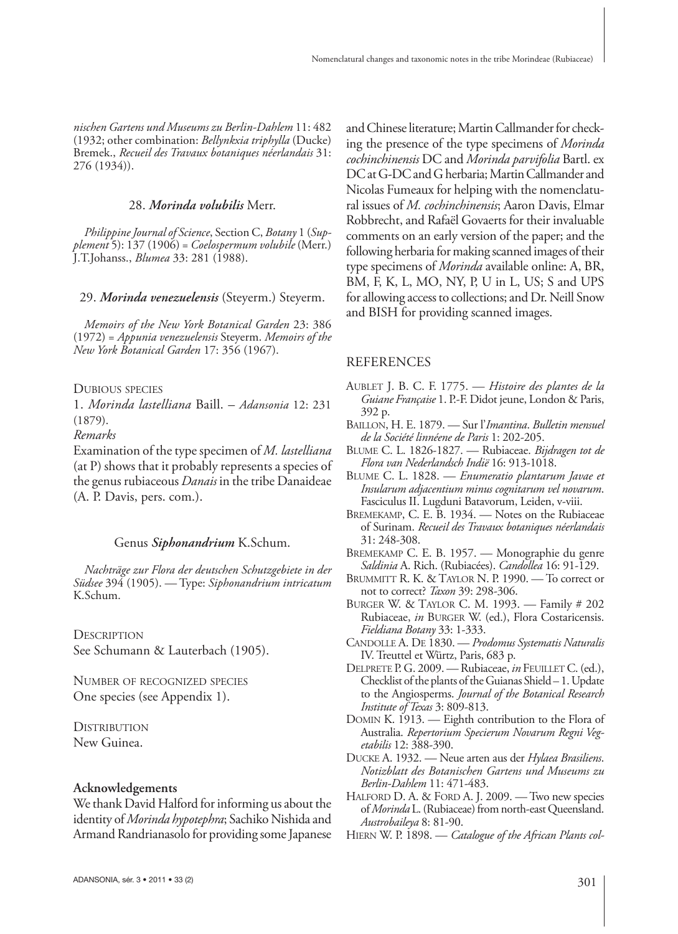*nischen Gartens und Museums zu Berlin-Dahlem* 11: 482 (1932; other combination: *Bellynkxia triphylla* (Ducke) Bremek., *Recueil des Travaux botaniques néerlandais* 31: 276 (1934)).

#### 28. *Morinda volubilis* Merr.

*Philippine Journal of Science*, Section C, *Botany* 1 (*Supplement* 5): 137 (1906) = *Coelospermum volubile* (Merr.) J.T.Johanss., *Blumea* 33: 281 (1988).

#### 29. *Morinda venezuelensis* (Steyerm.) Steyerm.

*Memoirs of the New York Botanical Garden* 23: 386 (1972) = *Appunia venezuelensis* Steyerm. *Memoirs of the New York Botanical Garden* 17: 356 (1967).

DUBIOUS SPECIES

1. *Morinda lastelliana* Baill. – *Adansonia* 12: 231 (1879).

*Remarks*

Examination of the type specimen of *M. lastelliana* (at P) shows that it probably represents a species of the genus rubiaceous *Danais* in the tribe Danaideae (A. P. Davis, pers. com.).

#### Genus *Siphonandrium* K.Schum.

*Nachträge zur Flora der deutschen Schutzgebiete in der Südsee* 394 (1905). — Type: *Siphonandrium intricatum* K.Schum.

**DESCRIPTION** See Schumann & Lauterbach (1905).

NUMBER OF RECOGNIZED SPECIES One species (see Appendix 1).

**DISTRIBUTION** New Guinea.

#### **Acknowledgements**

We thank David Halford for informing us about the identity of *Morinda hypotephra*; Sachiko Nishida and Armand Randrianasolo for providing some Japanese and Chinese literature; Martin Callmander for checking the presence of the type specimens of *Morinda cochinchinensis* DC and *Morinda parvifolia* Bartl. ex DC at G-DC and G herbaria; Martin Callmander and Nicolas Fumeaux for helping with the nomenclatural issues of *M. cochinchinensis*; Aaron Davis, Elmar Robbrecht, and Rafaël Govaerts for their invaluable comments on an early version of the paper; and the following herbaria for making scanned images of their type specimens of *Morinda* available online: A, BR, BM, F, K, L, MO, NY, P, U in L, US; S and UPS for allowing access to collections; and Dr. Neill Snow and BISH for providing scanned images.

#### REFERENCES

- AUBLET J. B. C. F. 1775. *Histoire des plantes de la Guiane Française* 1. P.-F. Didot jeune, London & Paris, 392 p.
- BAILLON, H. E. 1879. Sur l'*Imantina*. *Bulletin mensuel de la Société linnéene de Paris* 1: 202-205.
- BLUME C. L. 1826-1827. Rubiaceae. *Bijdragen tot de Flora van Nederlandsch Indië* 16: 913-1018.
- BLUME C. L. 1828. *Enumeratio plantarum Javae et Insularum adjacentium minus cognitarum vel novarum*. Fasciculus II. Lugduni Batavorum, Leiden, v-viii.
- BREMEKAMP, C. E. B. 1934. Notes on the Rubiaceae of Surinam. *Recueil des Travaux botaniques néerlandais* 31: 248-308.
- BREMEKAMP C. E. B. 1957. Monographie du genre *Saldinia* A. Rich. (Rubiacées). *Candollea* 16: 91-129.
- BRUMMITT R. K. & TAYLOR N. P. 1990. To correct or not to correct? *Taxon* 39: 298-306.
- BURGER W. & TAYLOR C. M. 1993. Family # 202 Rubiaceae, *in* BURGER W. (ed.), Flora Costaricensis. *Fieldiana Botany* 33: 1-333.
- CANDOLLE A. DE 1830. *Prodomus Systematis Naturalis* IV. Treuttel et Würtz, Paris, 683 p.
- DELPRETE P. G. 2009. Rubiaceae, *in* FEUILLET C. (ed.), Checklist of the plants of the Guianas Shield – 1. Update to the Angiosperms. *Journal of the Botanical Research Institute of Texas* 3: 809-813.
- DOMIN K. 1913. Eighth contribution to the Flora of Australia. *Repertorium Specierum Novarum Regni Vegetabilis* 12: 388-390.
- DUCKE A. 1932. Neue arten aus der *Hylaea Brasiliens*. *Notizblatt des Botanischen Gartens und Museums zu Berlin-Dahlem* 11: 471-483.
- HALFORD D. A. & FORD A. J. 2009. Two new species of *Morinda* L. (Rubiaceae) from north-east Queensland. *Austrobaileya* 8: 81-90.
- HIERN W. P. 1898. *Catalogue of the African Plants col-*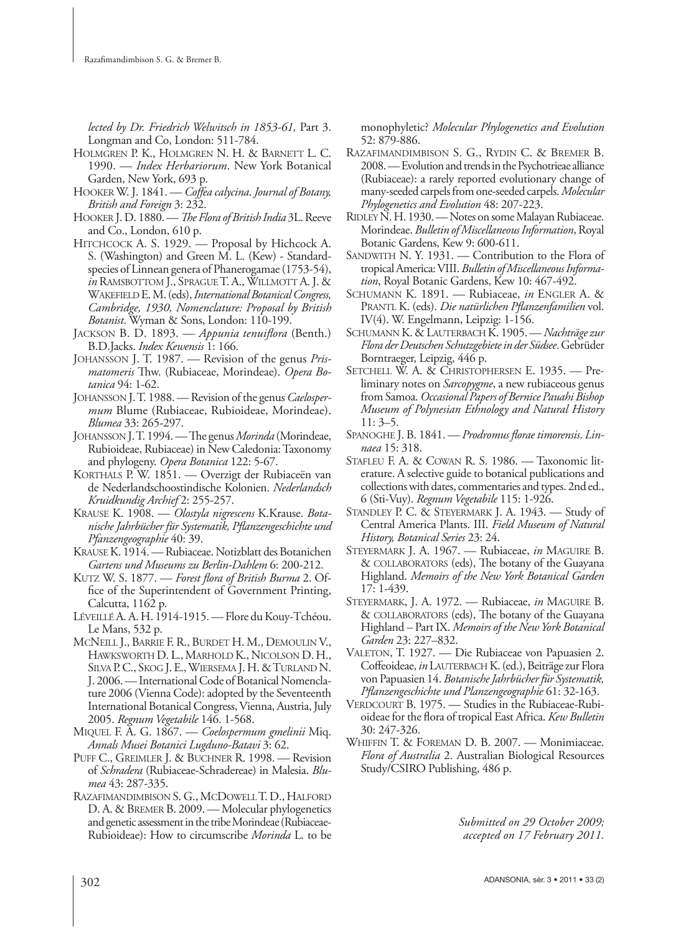*lected by Dr. Friedrich Welwitsch in 1853-61,* Part 3. Longman and Co, London: 511-784.

- HOLMGREN P. K., HOLMGREN N. H. & BARNETT L. C. 1990. — *Index Herbariorum*. New York Botanical Garden, New York, 693 p.
- HOOKER W. J. 1841. *Coffea calycina. Journal of Botany*, *British and Foreign* 3: 232.
- HOOKER J. D. 1880. *The Flora of British India* 3L. Reeve and Co., London, 610 p.
- HITCHCOCK A. S. 1929. Proposal by Hichcock A. S. (Washington) and Green M. L. (Kew) - Standardspecies of Linnean genera of Phanerogamae (1753-54), *in* RAMSBOTTOM J., SPRAGUE T. A., WILLMOTT A. J. & WAKEFIELD E. M. (eds), *International Botanical Congress, Cambridge, 1930, Nomenclature: Proposal by British Botanist*. Wyman & Sons, London: 110-199.
- JACKSON B. D. 1893. *Appunia tenuiflora* (Benth.) B.D.Jacks. *Index Kewensis* 1: 166.
- JOHANSSON J. T. 1987. Revision of the genus *Prismatomeris* Thw. (Rubiaceae, Morindeae). Opera Bo*tanica* 94: 1-62.
- JOHANSSON J. T. 1988. Revision of the genus *Caelospermum* Blume (Rubiaceae, Rubioideae, Morindeae). *Blumea* 33: 265-297.
- JOHANSSON J.T. 1994. The genus *Morinda* (Morindeae, Rubioideae, Rubiaceae) in New Caledonia: Taxonomy and phylogeny. *Opera Botanica* 122: 5-67.
- KORTHALS P. W. 1851. Overzigt der Rubiaceën van de Nederlandschoostindische Kolonien. *Nederlandsch Kruidkundig Archief* 2: 255-257.
- KRAUSE K. 1908. *Olostyla nigrescens* K.Krause. *Botanische Jahrbücher für Systematik, Pfl anzengeschichte und Pfanzengeographie* 40: 39.
- KRAUSE K. 1914. Rubiaceae. Notizblatt des Botanichen *Gartens und Museums zu Berlin-Dahlem* 6: 200-212.
- KUTZ W. S. 1877. Forest flora of British Burma 2. Office of the Superintendent of Government Printing, Calcutta, 1162 p.
- LÉVEILLÉ A. A. H. 1914-1915. Flore du Kouy-Tchéou. Le Mans, 532 p.
- MCNEILL J., BARRIE F. R., BURDET H. M., DEMOULIN V., HAWKSWORTH D. L., MARHOLD K., NICOLSON D. H., SILVA P. C., SKOG J. E., WIERSEMA J. H. & TURLAND N. J. 2006. — International Code of Botanical Nomenclature 2006 (Vienna Code): adopted by the Seventeenth International Botanical Congress, Vienna, Austria, July 2005. *Regnum Vegetabile* 146. 1-568.
- MIQUEL F. A. G. 1867. *Coelospermum gmelinii* Miq. *Annals Musei Botanici Lugduno-Batavi* 3: 62.
- PUFF C., GREIMLER J. & BUCHNER R. 1998. Revision of *Schradera* (Rubiaceae-Schradereae) in Malesia. *Blumea* 43: 287-335.
- RAZAFIMANDIMBISON S. G., MCDOWELL T. D., HALFORD D. A. & BREMER B. 2009. — Molecular phylogenetics and genetic assessment in the tribe Morindeae (Rubiaceae-Rubioideae): How to circumscribe *Morinda* L. to be

monophyletic? *Molecular Phylogenetics and Evolution* 52: 879-886.

- RAZAFIMANDIMBISON S. G., RYDIN C. & BREMER B. 2008. — Evolution and trends in the Psychotrieae alliance (Rubiaceae): a rarely reported evolutionary change of many-seeded carpels from one-seeded carpels. *Molecular Phylogenetics and Evolution* 48: 207-223.
- RIDLEY N. H. 1930. Notes on some Malayan Rubiaceae. Morindeae. *Bulletin of Miscellaneous Information*, Royal Botanic Gardens, Kew 9: 600-611.
- SANDWITH N. Y. 1931. Contribution to the Flora of tropical America: VIII. *Bulletin of Miscellaneous Information*, Royal Botanic Gardens, Kew 10: 467-492.
- SCHUMANN K. 1891. Rubiaceae, *in* ENGLER A. & PRANTL K. (eds). *Die natürlichen Pflanzenfamilien* vol. IV(4). W. Engelmann, Leipzig: 1-156.
- SCHUMANN K. & LAUTERBACH K. 1905. *Nachträge zur Flora der Deutschen Schutzgebiete in der Südsee*. Gebrüder Borntraeger, Leipzig, 446 p.
- SETCHELL W. A. & CHRISTOPHERSEN E. 1935. Preliminary notes on *Sarcopygme*, a new rubiaceous genus from Samoa. *Occasional Papers of Bernice Pauahi Bishop Museum of Polynesian Ethnology and Natural History* 11: 3–5.
- SPANOGHE J. B. 1841. *Prodromus florae timorensis. Linnaea* 15: 318.
- STAFLEU F. A. & COWAN R. S. 1986. Taxonomic literature. A selective guide to botanical publications and collections with dates, commentaries and types. 2nd ed., 6 (Sti-Vuy). *Regnum Vegetabile* 115: 1-926.
- STANDLEY P. C. & STEYERMARK J. A. 1943. Study of Central America Plants. III. *Field Museum of Natural History, Botanical Series* 23: 24.
- STEYERMARK J. A. 1967. Rubiaceae, *in* MAGUIRE B. & COLLABORATORS (eds), The botany of the Guayana Highland. *Memoirs of the New York Botanical Garden* 17: 1-439.
- STEYERMARK, J. A. 1972. Rubiaceae, *in* MAGUIRE B. & COLLABORATORS (eds), The botany of the Guayana Highland – Part IX. *Memoirs of the New York Botanical Garden* 23: 227–832.
- VALETON, T. 1927. Die Rubiaceae von Papuasien 2. Coffeoideae, *in* LAUTERBACH K. (ed.), Beiträge zur Flora von Papuasien 14. *Botanische Jahrbücher für Systematik, Pfl anzengeschichte und Planzengeographie* 61: 32-163.
- VERDCOURT B. 1975. Studies in the Rubiaceae-Rubioideae for the flora of tropical East Africa. *Kew Bulletin* 30: 247-326.
- WHIFFIN T. & FOREMAN D. B. 2007. Monimiaceae. *Flora of Australia* 2. Australian Biological Resources Study/CSIRO Publishing, 486 p.

*Submitted on 29 October 2009; accepted on 17 February 2011.*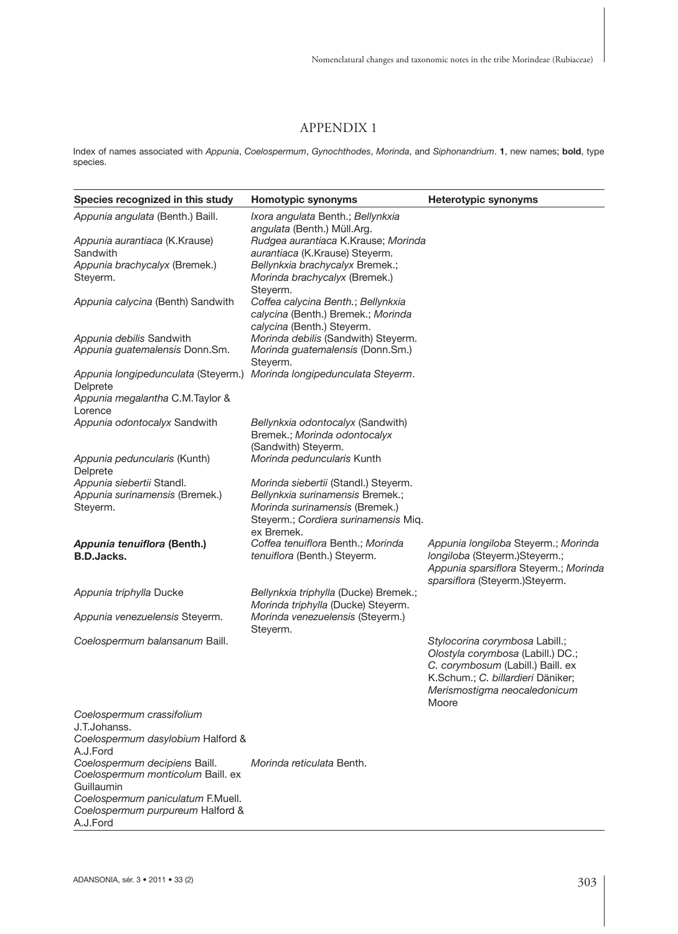# APPENDIX 1

Index of names associated with *Appunia*, *Coelospermum*, *Gynochthodes*, *Morinda*, and *Siphonandrium*. **1**, new names; **bold**, type species.

| Species recognized in this study                                                  | <b>Homotypic synonyms</b>                                                                              | <b>Heterotypic synonyms</b>                                                                               |
|-----------------------------------------------------------------------------------|--------------------------------------------------------------------------------------------------------|-----------------------------------------------------------------------------------------------------------|
| Appunia angulata (Benth.) Baill.                                                  | Ixora angulata Benth.; Bellynkxia<br>angulata (Benth.) Müll.Arg.                                       |                                                                                                           |
| Appunia aurantiaca (K.Krause)                                                     | Rudgea aurantiaca K.Krause; Morinda                                                                    |                                                                                                           |
| Sandwith                                                                          | aurantiaca (K.Krause) Steyerm.                                                                         |                                                                                                           |
| Appunia brachycalyx (Bremek.)<br>Steyerm.                                         | Bellynkxia brachycalyx Bremek.;<br>Morinda brachycalyx (Bremek.)                                       |                                                                                                           |
|                                                                                   | Steverm.                                                                                               |                                                                                                           |
| Appunia calycina (Benth) Sandwith                                                 | Coffea calycina Benth.; Bellynkxia<br>calycina (Benth.) Bremek.; Morinda<br>calycina (Benth.) Steyerm. |                                                                                                           |
| Appunia debilis Sandwith                                                          | Morinda debilis (Sandwith) Steyerm.                                                                    |                                                                                                           |
| Appunia guatemalensis Donn.Sm.                                                    | Morinda guatemalensis (Donn.Sm.)                                                                       |                                                                                                           |
|                                                                                   | Steyerm.                                                                                               |                                                                                                           |
| Appunia longipedunculata (Steyerm.) Morinda longipedunculata Steyerm.<br>Delprete |                                                                                                        |                                                                                                           |
| Appunia megalantha C.M.Taylor &                                                   |                                                                                                        |                                                                                                           |
| Lorence                                                                           |                                                                                                        |                                                                                                           |
| Appunia odontocalyx Sandwith                                                      | Bellynkxia odontocalyx (Sandwith)<br>Bremek.; Morinda odontocalyx<br>(Sandwith) Steyerm.               |                                                                                                           |
| Appunia peduncularis (Kunth)                                                      | Morinda peduncularis Kunth                                                                             |                                                                                                           |
| Delprete                                                                          |                                                                                                        |                                                                                                           |
| Appunia siebertii Standl.<br>Appunia surinamensis (Bremek.)                       | Morinda siebertii (Standl.) Steyerm.<br>Bellynkxia surinamensis Bremek.;                               |                                                                                                           |
| Steyerm.                                                                          | Morinda surinamensis (Bremek.)<br>Steyerm.; Cordiera surinamensis Miq.                                 |                                                                                                           |
| Appunia tenuiflora (Benth.)                                                       | ex Bremek.<br>Coffea tenuiflora Benth.; Morinda                                                        | Appunia longiloba Steyerm.; Morinda                                                                       |
| <b>B.D.Jacks.</b>                                                                 | tenuiflora (Benth.) Steyerm.                                                                           | longiloba (Steyerm.) Steyerm.;<br>Appunia sparsiflora Steyerm.; Morinda<br>sparsiflora (Steyerm.)Steyerm. |
| Appunia triphylla Ducke                                                           | Bellynkxia triphylla (Ducke) Bremek.;<br>Morinda triphylla (Ducke) Steyerm.                            |                                                                                                           |
| Appunia venezuelensis Steyerm.                                                    | Morinda venezuelensis (Steyerm.)<br>Steyerm.                                                           |                                                                                                           |
| Coelospermum balansanum Baill.                                                    |                                                                                                        | Stylocorina corymbosa Labill.;                                                                            |
|                                                                                   |                                                                                                        | Olostyla corymbosa (Labill.) DC.;                                                                         |
|                                                                                   |                                                                                                        | C. corymbosum (Labill.) Baill. ex<br>K.Schum.; C. billardieri Däniker;                                    |
|                                                                                   |                                                                                                        | Merismostigma neocaledonicum                                                                              |
|                                                                                   |                                                                                                        | Moore                                                                                                     |
| Coelospermum crassifolium                                                         |                                                                                                        |                                                                                                           |
| J.T.Johanss.                                                                      |                                                                                                        |                                                                                                           |
| Coelospermum dasylobium Halford &                                                 |                                                                                                        |                                                                                                           |
| A.J.Ford<br>Coelospermum decipiens Baill.                                         | Morinda reticulata Benth.                                                                              |                                                                                                           |
| Coelospermum monticolum Baill. ex                                                 |                                                                                                        |                                                                                                           |
| Guillaumin                                                                        |                                                                                                        |                                                                                                           |
| Coelospermum paniculatum F.Muell.<br>Coelospermum purpureum Halford &             |                                                                                                        |                                                                                                           |

A.J.Ford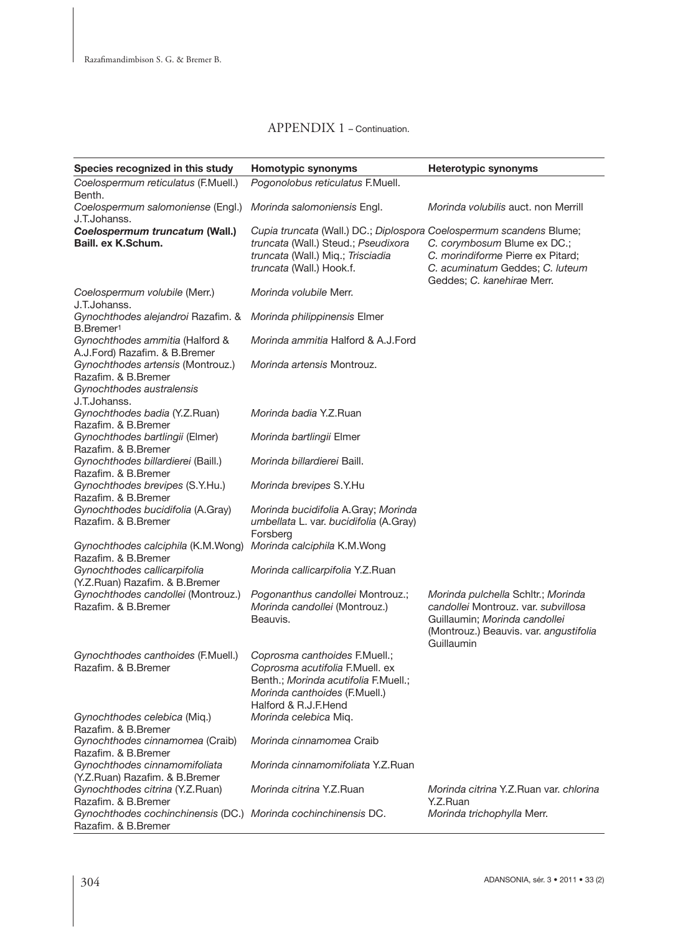| Species recognized in this study                                                      | Homotypic synonyms                                                                                                                                                          | <b>Heterotypic synonyms</b>                                                                                                                                        |
|---------------------------------------------------------------------------------------|-----------------------------------------------------------------------------------------------------------------------------------------------------------------------------|--------------------------------------------------------------------------------------------------------------------------------------------------------------------|
| Coelospermum reticulatus (F.Muell.)                                                   | Pogonolobus reticulatus F.Muell.                                                                                                                                            |                                                                                                                                                                    |
| Benth.<br>Coelospermum salomoniense (Engl.)                                           | Morinda salomoniensis Engl.                                                                                                                                                 | Morinda volubilis auct, non Merrill                                                                                                                                |
| J.T.Johanss.<br>Coelospermum truncatum (Wall.)<br>Baill, ex K.Schum.                  | Cupia truncata (Wall.) DC.; Diplospora Coelospermum scandens Blume;<br>truncata (Wall.) Steud.; Pseudixora<br>truncata (Wall.) Miq.; Trisciadia<br>truncata (Wall.) Hook.f. | C. corymbosum Blume ex DC.;<br>C. morindiforme Pierre ex Pitard;<br>C. acuminatum Geddes; C. luteum<br>Geddes; C. kanehirae Merr.                                  |
| Coelospermum volubile (Merr.)<br>J.T.Johanss.                                         | Morinda volubile Merr.                                                                                                                                                      |                                                                                                                                                                    |
| Gynochthodes alejandroi Razafim. &<br>B.Bremer <sup>1</sup>                           | Morinda philippinensis Elmer                                                                                                                                                |                                                                                                                                                                    |
| Gynochthodes ammitia (Halford &<br>A.J.Ford) Razafim. & B.Bremer                      | Morinda ammitia Halford & A.J.Ford                                                                                                                                          |                                                                                                                                                                    |
| Gynochthodes artensis (Montrouz.)<br>Razafim. & B.Bremer                              | <i>Morinda artensis Montrouz.</i>                                                                                                                                           |                                                                                                                                                                    |
| Gynochthodes australensis<br>J.T.Johanss.                                             |                                                                                                                                                                             |                                                                                                                                                                    |
| Gynochthodes badia (Y.Z.Ruan)<br>Razafim, & B.Bremer                                  | Morinda badia Y.Z.Ruan                                                                                                                                                      |                                                                                                                                                                    |
| Gynochthodes bartlingii (Elmer)<br>Razafim. & B.Bremer                                | Morinda bartlingii Elmer                                                                                                                                                    |                                                                                                                                                                    |
| Gynochthodes billardierei (Baill.)<br>Razafim. & B.Bremer                             | Morinda billardierei Baill.                                                                                                                                                 |                                                                                                                                                                    |
| Gynochthodes brevipes (S.Y.Hu.)<br>Razafim, & B.Bremer                                | Morinda brevipes S.Y.Hu                                                                                                                                                     |                                                                                                                                                                    |
| Gynochthodes bucidifolia (A.Gray)<br>Razafim, & B. Bremer                             | Morinda bucidifolia A.Gray; Morinda<br>umbellata L. var. bucidifolia (A.Gray)<br>Forsberg                                                                                   |                                                                                                                                                                    |
| Gynochthodes calciphila (K.M.Wong)<br>Razafim, & B. Bremer                            | Morinda calciphila K.M.Wong                                                                                                                                                 |                                                                                                                                                                    |
| Gynochthodes callicarpifolia<br>(Y.Z.Ruan) Razafim. & B.Bremer                        | Morinda callicarpifolia Y.Z.Ruan                                                                                                                                            |                                                                                                                                                                    |
| Gynochthodes candollei (Montrouz.)<br>Razafim, & B. Bremer                            | Pogonanthus candollei Montrouz.;<br>Morinda candollei (Montrouz.)<br>Beauvis.                                                                                               | Morinda pulchella Schltr.; Morinda<br>candollei Montrouz, var. subvillosa<br>Guillaumin; Morinda candollei<br>(Montrouz.) Beauvis. var. angustifolia<br>Guillaumin |
| Gynochthodes canthoides (F.Muell.)<br>Razafim, & B.Bremer                             | Coprosma canthoides F.Muell.;<br>Coprosma acutifolia F.Muell. ex<br>Benth.; Morinda acutifolia F.Muell.;<br>Morinda canthoides (F.Muell.)<br>Halford & R.J.F.Hend           |                                                                                                                                                                    |
| Gynochthodes celebica (Miq.)<br>Razafim. & B.Bremer                                   | Morinda celebica Miq.                                                                                                                                                       |                                                                                                                                                                    |
| Gynochthodes cinnamomea (Craib)<br>Razafim. & B.Bremer                                | Morinda cinnamomea Craib                                                                                                                                                    |                                                                                                                                                                    |
| Gynochthodes cinnamomifoliata<br>(Y.Z.Ruan) Razafim. & B.Bremer                       | Morinda cinnamomifoliata Y.Z.Ruan                                                                                                                                           |                                                                                                                                                                    |
| Gynochthodes citrina (Y.Z.Ruan)<br>Razafim. & B.Bremer                                | Morinda citrina Y.Z.Ruan                                                                                                                                                    | Morinda citrina Y.Z.Ruan var, chlorina<br>Y.Z.Ruan                                                                                                                 |
| Gynochthodes cochinchinensis (DC.) Morinda cochinchinensis DC.<br>Razafim, & B.Bremer |                                                                                                                                                                             | Morinda trichophylla Merr.                                                                                                                                         |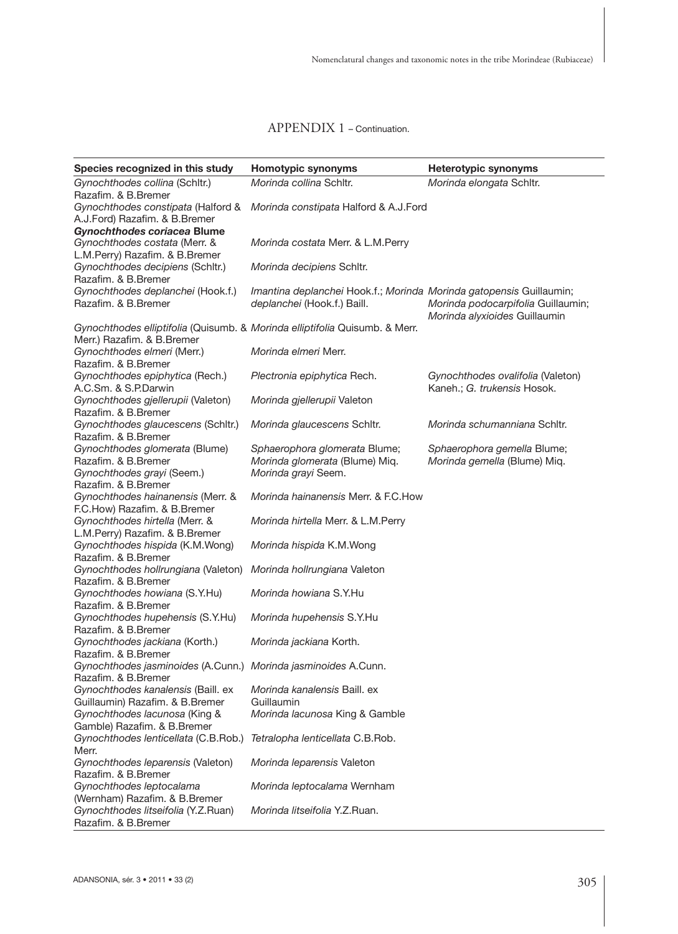J

| Species recognized in this study<br>Homotypic synonyms<br>Heterotypic synonyms                           |  |
|----------------------------------------------------------------------------------------------------------|--|
| Morinda collina Schltr.<br>Gynochthodes collina (Schltr.)<br>Morinda elongata Schltr.                    |  |
| Razafim. & B.Bremer                                                                                      |  |
| Gynochthodes constipata (Halford &<br>Morinda constipata Halford & A.J.Ford                              |  |
| A.J.Ford) Razafim. & B.Bremer                                                                            |  |
| Gynochthodes coriacea Blume                                                                              |  |
| Gynochthodes costata (Merr. &<br>Morinda costata Merr. & L.M.Perry                                       |  |
| L.M.Perry) Razafim. & B.Bremer                                                                           |  |
| Gynochthodes decipiens (Schltr.)<br>Morinda decipiens Schltr.                                            |  |
| Razafim. & B.Bremer                                                                                      |  |
| Gynochthodes deplanchei (Hook.f.)<br>Imantina deplanchei Hook.f.; Morinda Morinda gatopensis Guillaumin; |  |
| Razafim, & B.Bremer<br>deplanchei (Hook.f.) Baill.<br>Morinda podocarpifolia Guillaumin;                 |  |
| Morinda alyxioides Guillaumin                                                                            |  |
| Gynochthodes elliptifolia (Quisumb. & Morinda elliptifolia Quisumb. & Merr.                              |  |
| Merr.) Razafim, & B.Bremer                                                                               |  |
| Morinda elmeri Merr.<br>Gynochthodes elmeri (Merr.)                                                      |  |
| Razafim. & B.Bremer                                                                                      |  |
| Gynochthodes epiphytica (Rech.)<br>Plectronia epiphytica Rech.<br>Gynochthodes ovalifolia (Valeton)      |  |
| A.C.Sm. & S.P.Darwin<br>Kaneh.; G. trukensis Hosok.                                                      |  |
| Gynochthodes gjellerupii (Valeton)<br>Morinda gjellerupii Valeton                                        |  |
| Razafim, & B.Bremer                                                                                      |  |
| Gynochthodes glaucescens (Schitr.)<br>Morinda glaucescens Schltr.<br>Morinda schumanniana Schltr.        |  |
| Razafim. & B.Bremer                                                                                      |  |
| Gynochthodes glomerata (Blume)<br>Sphaerophora glomerata Blume;<br>Sphaerophora gemella Blume;           |  |
| Razafim. & B.Bremer<br>Morinda glomerata (Blume) Mig.<br>Morinda gemella (Blume) Mig.                    |  |
| Gynochthodes grayi (Seem.)<br>Morinda grayi Seem.                                                        |  |
| Razafim. & B.Bremer                                                                                      |  |
| Gynochthodes hainanensis (Merr. &<br>Morinda hainanensis Merr. & F.C.How                                 |  |
| F.C.How) Razafim. & B.Bremer                                                                             |  |
| Gynochthodes hirtella (Merr. &<br>Morinda hirtella Merr. & L.M.Perry                                     |  |
| L.M.Perry) Razafim. & B.Bremer                                                                           |  |
| Gynochthodes hispida (K.M.Wong)<br>Morinda hispida K.M.Wong                                              |  |
| Razafim. & B.Bremer                                                                                      |  |
| Gynochthodes hollrungiana (Valeton)<br>Morinda hollrungiana Valeton                                      |  |
| Razafim. & B.Bremer                                                                                      |  |
| Morinda howiana S.Y.Hu<br>Gynochthodes howiana (S.Y.Hu)                                                  |  |
| Razafim. & B.Bremer                                                                                      |  |
| Gynochthodes hupehensis (S.Y.Hu)<br>Morinda hupehensis S.Y.Hu                                            |  |
| Razafim. & B.Bremer                                                                                      |  |
| Gynochthodes jackiana (Korth.)<br>Morinda jackiana Korth.                                                |  |
| Razafim, & B.Bremer                                                                                      |  |
| Gynochthodes jasminoides (A.Cunn.) Morinda jasminoides A.Cunn.                                           |  |
| Razafim. & B.Bremer                                                                                      |  |
| Gynochthodes kanalensis (Baill. ex<br><i>Morinda kanalensis Baill, ex</i>                                |  |
| Guillaumin) Razafim. & B.Bremer<br>Guillaumin                                                            |  |
| Gynochthodes lacunosa (King &<br>Morinda lacunosa King & Gamble                                          |  |
| Gamble) Razafim. & B.Bremer                                                                              |  |
| Gynochthodes lenticellata (C.B.Rob.) Tetralopha lenticellata C.B.Rob.                                    |  |
| Merr.                                                                                                    |  |
| Gynochthodes leparensis (Valeton)<br>Morinda leparensis Valeton                                          |  |
| Razafim. & B.Bremer                                                                                      |  |
| Gynochthodes leptocalama<br>Morinda leptocalama Wernham                                                  |  |
| (Wernham) Razafim. & B.Bremer                                                                            |  |
| Gynochthodes litseifolia (Y.Z.Ruan)<br>Morinda litseifolia Y.Z.Ruan.                                     |  |
| Razafim. & B.Bremer                                                                                      |  |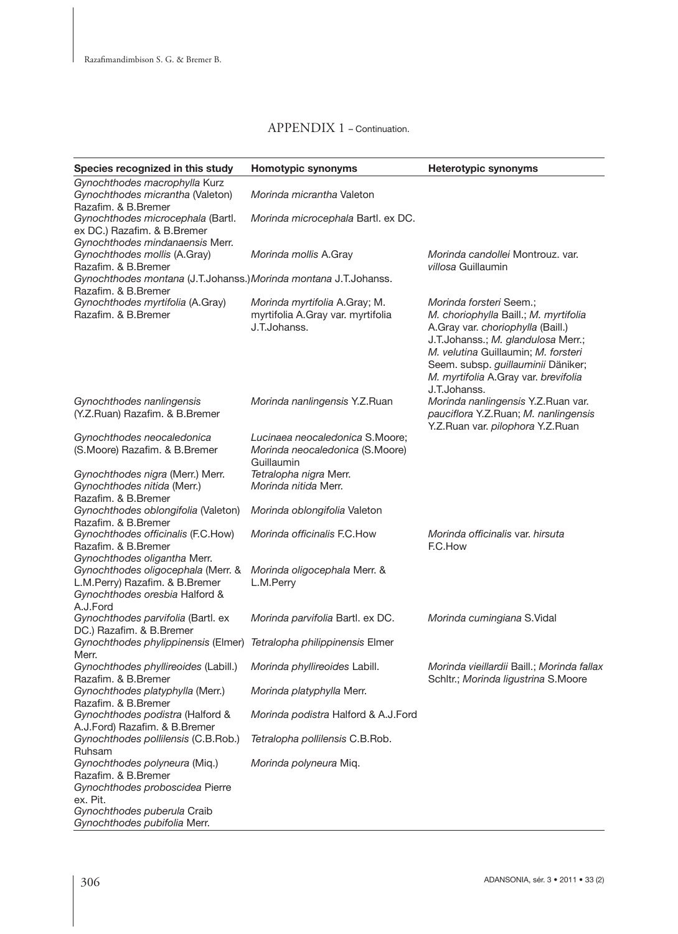| Species recognized in this study                                                                                                       | Homotypic synonyms                                                                 | <b>Heterotypic synonyms</b>                                                                                                                                                                                                                                                      |
|----------------------------------------------------------------------------------------------------------------------------------------|------------------------------------------------------------------------------------|----------------------------------------------------------------------------------------------------------------------------------------------------------------------------------------------------------------------------------------------------------------------------------|
| Gynochthodes macrophylla Kurz<br>Gynochthodes micrantha (Valeton)<br>Razafim, & B.Bremer                                               | Morinda micrantha Valeton                                                          |                                                                                                                                                                                                                                                                                  |
| Gynochthodes microcephala (Bartl.<br>ex DC.) Razafim. & B.Bremer                                                                       | Morinda microcephala Bartl. ex DC.                                                 |                                                                                                                                                                                                                                                                                  |
| Gynochthodes mindanaensis Merr.<br>Gynochthodes mollis (A.Gray)<br>Razafim. & B.Bremer                                                 | Morinda mollis A.Gray                                                              | Morinda candollei Montrouz, var.<br>villosa Guillaumin                                                                                                                                                                                                                           |
| Gynochthodes montana (J.T.Johanss.) Morinda montana J.T.Johanss.                                                                       |                                                                                    |                                                                                                                                                                                                                                                                                  |
| Razafim. & B.Bremer<br>Gynochthodes myrtifolia (A.Gray)<br>Razafim, & B.Bremer                                                         | Morinda myrtifolia A.Gray; M.<br>myrtifolia A.Gray var. myrtifolia<br>J.T.Johanss. | Morinda forsteri Seem.;<br>M. choriophylla Baill.; M. myrtifolia<br>A.Gray var. choriophylla (Baill.)<br>J.T.Johanss.; M. glandulosa Merr.;<br>M. velutina Guillaumin; M. forsteri<br>Seem. subsp. guillauminii Däniker;<br>M. myrtifolia A.Gray var. brevifolia<br>J.T.Johanss. |
| Gynochthodes nanlingensis<br>(Y.Z.Ruan) Razafim. & B.Bremer                                                                            | Morinda nanlingensis Y.Z.Ruan                                                      | Morinda nanlingensis Y.Z.Ruan var.<br>pauciflora Y.Z.Ruan; M. nanlingensis<br>Y.Z.Ruan var. pilophora Y.Z.Ruan                                                                                                                                                                   |
| Gynochthodes neocaledonica<br>(S.Moore) Razafim. & B.Bremer                                                                            | Lucinaea neocaledonica S.Moore;<br>Morinda neocaledonica (S.Moore)<br>Guillaumin   |                                                                                                                                                                                                                                                                                  |
| Gynochthodes nigra (Merr.) Merr.<br>Gynochthodes nitida (Merr.)<br>Razafim. & B.Bremer                                                 | Tetralopha nigra Merr.<br>Morinda nitida Merr.                                     |                                                                                                                                                                                                                                                                                  |
| Gynochthodes oblongifolia (Valeton)                                                                                                    | Morinda oblongifolia Valeton                                                       |                                                                                                                                                                                                                                                                                  |
| Razafim. & B.Bremer<br>Gynochthodes officinalis (F.C.How)<br>Razafim. & B.Bremer                                                       | Morinda officinalis F.C. How                                                       | Morinda officinalis var. hirsuta<br>F.C.How                                                                                                                                                                                                                                      |
| Gynochthodes oligantha Merr.<br>Gynochthodes oligocephala (Merr. &<br>L.M.Perry) Razafim. & B.Bremer<br>Gynochthodes oresbia Halford & | Morinda oligocephala Merr. &<br>L.M.Perry                                          |                                                                                                                                                                                                                                                                                  |
| A.J.Ford<br>Gynochthodes parvifolia (Bartl. ex<br>DC.) Razafim. & B.Bremer                                                             | Morinda parvifolia Bartl. ex DC.                                                   | Morinda cumingiana S.Vidal                                                                                                                                                                                                                                                       |
| Gynochthodes phylippinensis (Elmer) Tetralopha philippinensis Elmer<br>Merr.                                                           |                                                                                    |                                                                                                                                                                                                                                                                                  |
| Gynochthodes phyllireoides (Labill.)                                                                                                   | Morinda phyllireoides Labill.                                                      | Morinda vieillardii Baill.; Morinda fallax                                                                                                                                                                                                                                       |
| Razafim. & B.Bremer<br>Gynochthodes platyphylla (Merr.)<br>Razafim. & B.Bremer                                                         | Morinda platyphylla Merr.                                                          | Schltr.; Morinda ligustrina S.Moore                                                                                                                                                                                                                                              |
| Gynochthodes podistra (Halford &                                                                                                       | Morinda podistra Halford & A.J.Ford                                                |                                                                                                                                                                                                                                                                                  |
| A.J.Ford) Razafim. & B.Bremer<br>Gynochthodes pollilensis (C.B.Rob.)<br>Ruhsam                                                         | Tetralopha pollilensis C.B.Rob.                                                    |                                                                                                                                                                                                                                                                                  |
| Gynochthodes polyneura (Miq.)<br>Razafim. & B.Bremer<br>Gynochthodes proboscidea Pierre<br>ex. Pit.                                    | <i>Morinda polyneura Mig.</i>                                                      |                                                                                                                                                                                                                                                                                  |
| Gynochthodes puberula Craib<br>Gynochthodes pubifolia Merr.                                                                            |                                                                                    |                                                                                                                                                                                                                                                                                  |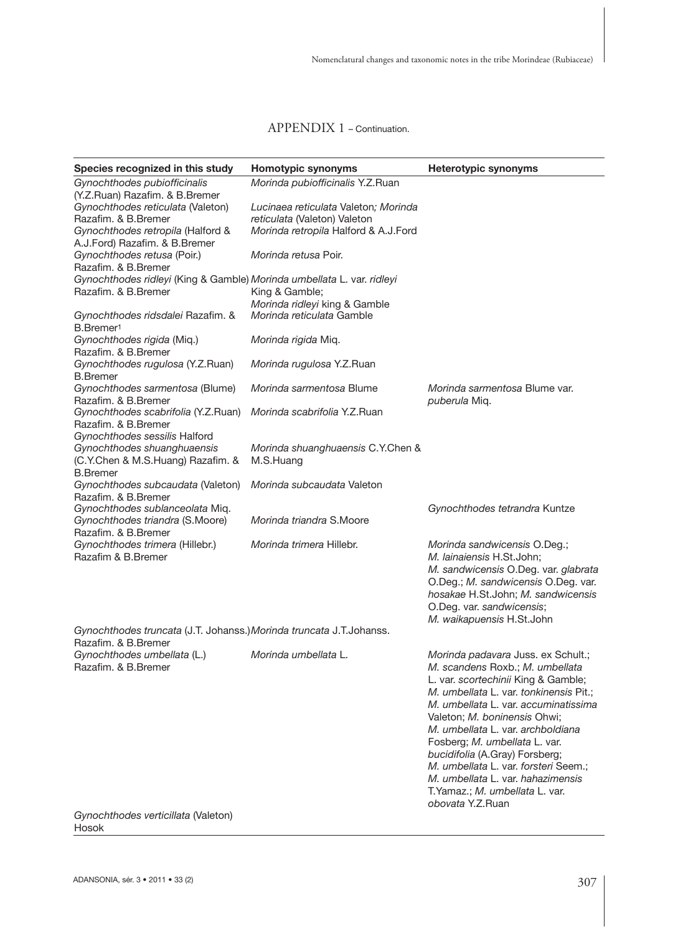| Species recognized in this study                                       | Homotypic synonyms                   | <b>Heterotypic synonyms</b>            |
|------------------------------------------------------------------------|--------------------------------------|----------------------------------------|
| Gynochthodes pubiofficinalis                                           | Morinda pubiofficinalis Y.Z.Ruan     |                                        |
| (Y.Z.Ruan) Razafim. & B.Bremer<br>Gynochthodes reticulata (Valeton)    | Lucinaea reticulata Valeton; Morinda |                                        |
| Razafim. & B.Bremer                                                    | reticulata (Valeton) Valeton         |                                        |
| Gynochthodes retropila (Halford &                                      | Morinda retropila Halford & A.J.Ford |                                        |
| A.J.Ford) Razafim. & B.Bremer                                          |                                      |                                        |
| Gynochthodes retusa (Poir.)                                            | Morinda retusa Poir.                 |                                        |
| Razafim. & B.Bremer                                                    |                                      |                                        |
| Gynochthodes ridleyi (King & Gamble) Morinda umbellata L. var. ridleyi |                                      |                                        |
| Razafim, & B.Bremer                                                    | King & Gamble;                       |                                        |
|                                                                        | Morinda ridleyi king & Gamble        |                                        |
| Gynochthodes ridsdalei Razafim. &                                      | Morinda reticulata Gamble            |                                        |
| B.Bremer <sup>1</sup>                                                  |                                      |                                        |
| Gynochthodes rigida (Miq.)                                             | <i>Morinda rigida Mig.</i>           |                                        |
| Razafim. & B.Bremer<br>Gynochthodes rugulosa (Y.Z.Ruan)                | Morinda rugulosa Y.Z.Ruan            |                                        |
| <b>B.Bremer</b>                                                        |                                      |                                        |
| Gynochthodes sarmentosa (Blume)                                        | Morinda sarmentosa Blume             | Morinda sarmentosa Blume var.          |
| Razafim. & B.Bremer                                                    |                                      | puberula Miq.                          |
| Gynochthodes scabrifolia (Y.Z.Ruan)                                    | Morinda scabrifolia Y.Z.Ruan         |                                        |
| Razafim. & B.Bremer                                                    |                                      |                                        |
| Gynochthodes sessilis Halford                                          |                                      |                                        |
| Gynochthodes shuanghuaensis                                            | Morinda shuanghuaensis C.Y.Chen &    |                                        |
| (C.Y.Chen & M.S.Huang) Razafim. &                                      | M.S.Huang                            |                                        |
| <b>B.Bremer</b>                                                        |                                      |                                        |
| Gynochthodes subcaudata (Valeton)                                      | Morinda subcaudata Valeton           |                                        |
| Razafim. & B.Bremer<br>Gynochthodes sublanceolata Miq.                 |                                      | Gynochthodes tetrandra Kuntze          |
| Gynochthodes triandra (S.Moore)                                        | Morinda triandra S.Moore             |                                        |
| Razafim. & B.Bremer                                                    |                                      |                                        |
| Gynochthodes trimera (Hillebr.)                                        | Morinda trimera Hillebr.             | Morinda sandwicensis O.Deg.;           |
| Razafim & B. Bremer                                                    |                                      | M. lainaiensis H.St.John;              |
|                                                                        |                                      | M. sandwicensis O.Deg. var. glabrata   |
|                                                                        |                                      | O.Deg.; M. sandwicensis O.Deg. var.    |
|                                                                        |                                      | hosakae H.St.John; M. sandwicensis     |
|                                                                        |                                      | O.Deg. var. sandwicensis;              |
|                                                                        |                                      | M. waikapuensis H.St.John              |
| Gynochthodes truncata (J.T. Johanss.) Morinda truncata J.T.Johanss.    |                                      |                                        |
| Razafim. & B.Bremer<br>Gynochthodes umbellata (L.)                     | Morinda umbellata L.                 | Morinda padavara Juss. ex Schult.;     |
| Razafim, & B.Bremer                                                    |                                      | M. scandens Roxb.; M. umbellata        |
|                                                                        |                                      | L. var. scortechinii King & Gamble;    |
|                                                                        |                                      | M. umbellata L. var. tonkinensis Pit.; |
|                                                                        |                                      | M. umbellata L. var. accuminatissima   |
|                                                                        |                                      | Valeton; M. boninensis Ohwi;           |
|                                                                        |                                      | M. umbellata L. var. archboldiana      |
|                                                                        |                                      | Fosberg; M. umbellata L. var.          |
|                                                                        |                                      | bucidifolia (A.Gray) Forsberg;         |
|                                                                        |                                      | M. umbellata L. var. forsteri Seem.:   |
|                                                                        |                                      | M. umbellata L. var. hahazimensis      |
|                                                                        |                                      | T.Yamaz.; M. umbellata L. var.         |
| $O($ moobthodoo uqutiqillata $N$ lolatan                               |                                      | obovata Y.Z.Ruan                       |

*Gynochthodes verticillata* (Valeton) Hosok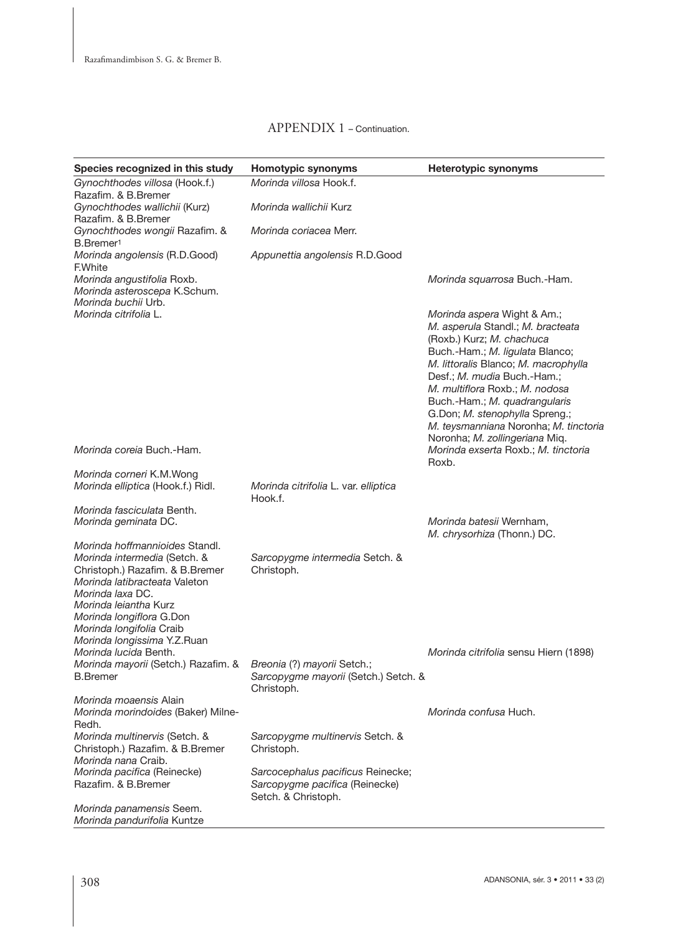| Species recognized in this study                                                                                                                                                                                                                                       | Homotypic synonyms                                                                         | Heterotypic synonyms                                                                                                                                                                                                                                                                                                                                                                    |
|------------------------------------------------------------------------------------------------------------------------------------------------------------------------------------------------------------------------------------------------------------------------|--------------------------------------------------------------------------------------------|-----------------------------------------------------------------------------------------------------------------------------------------------------------------------------------------------------------------------------------------------------------------------------------------------------------------------------------------------------------------------------------------|
| Gynochthodes villosa (Hook.f.)                                                                                                                                                                                                                                         | Morinda villosa Hook.f.                                                                    |                                                                                                                                                                                                                                                                                                                                                                                         |
| Razafim. & B.Bremer<br>Gynochthodes wallichii (Kurz)<br>Razafim. & B.Bremer                                                                                                                                                                                            | Morinda wallichii Kurz                                                                     |                                                                                                                                                                                                                                                                                                                                                                                         |
| Gynochthodes wongii Razafim. &                                                                                                                                                                                                                                         | Morinda coriacea Merr.                                                                     |                                                                                                                                                                                                                                                                                                                                                                                         |
| B.Bremer <sup>1</sup><br>Morinda angolensis (R.D.Good)<br>F.White                                                                                                                                                                                                      | Appunettia angolensis R.D.Good                                                             |                                                                                                                                                                                                                                                                                                                                                                                         |
| Morinda angustifolia Roxb.<br>Morinda asteroscepa K.Schum.<br>Morinda buchii Urb.                                                                                                                                                                                      |                                                                                            | Morinda squarrosa Buch.-Ham.                                                                                                                                                                                                                                                                                                                                                            |
| Morinda citrifolia L.                                                                                                                                                                                                                                                  |                                                                                            | Morinda aspera Wight & Am.;<br>M. asperula Standl.; M. bracteata<br>(Roxb.) Kurz; M. chachuca<br>Buch.-Ham.; M. ligulata Blanco;<br>M. littoralis Blanco; M. macrophylla<br>Desf.; M. mudia Buch.-Ham.;<br>M. multiflora Roxb.; M. nodosa<br>Buch.-Ham.; M. quadrangularis<br>G.Don; M. stenophylla Spreng.;<br>M. teysmanniana Noronha; M. tinctoria<br>Noronha; M. zollingeriana Miq. |
| Morinda coreia Buch.-Ham.                                                                                                                                                                                                                                              |                                                                                            | Morinda exserta Roxb.; M. tinctoria<br>Roxb.                                                                                                                                                                                                                                                                                                                                            |
| Morinda corneri K.M.Wong<br>Morinda elliptica (Hook.f.) Ridl.                                                                                                                                                                                                          | Morinda citrifolia L. var. elliptica<br>Hook.f.                                            |                                                                                                                                                                                                                                                                                                                                                                                         |
| Morinda fasciculata Benth.<br>Morinda geminata DC.                                                                                                                                                                                                                     |                                                                                            | Morinda batesii Wernham,<br>M. chrysorhiza (Thonn.) DC.                                                                                                                                                                                                                                                                                                                                 |
| Morinda hoffmannioides Standl.<br>Morinda intermedia (Setch. &<br>Christoph.) Razafim. & B.Bremer<br>Morinda latibracteata Valeton<br>Morinda laxa DC.<br>Morinda leiantha Kurz<br>Morinda longiflora G.Don<br>Morinda longifolia Craib<br>Morinda longissima Y.Z.Ruan | Sarcopygme intermedia Setch. &<br>Christoph.                                               |                                                                                                                                                                                                                                                                                                                                                                                         |
| Morinda lucida Benth.<br>Morinda mayorii (Setch.) Razafim. &<br><b>B.Bremer</b>                                                                                                                                                                                        | Breonia (?) mayorii Setch.;<br>Sarcopygme mayorii (Setch.) Setch. &<br>Christoph.          | Morinda citrifolia sensu Hiern (1898)                                                                                                                                                                                                                                                                                                                                                   |
| Morinda moaensis Alain<br>Morinda morindoides (Baker) Milne-<br>Redh.                                                                                                                                                                                                  |                                                                                            | Morinda confusa Huch.                                                                                                                                                                                                                                                                                                                                                                   |
| Morinda multinervis (Setch. &<br>Christoph.) Razafim. & B.Bremer<br>Morinda nana Craib.                                                                                                                                                                                | Sarcopygme multinervis Setch. &<br>Christoph.                                              |                                                                                                                                                                                                                                                                                                                                                                                         |
| Morinda pacifica (Reinecke)<br>Razafim. & B.Bremer                                                                                                                                                                                                                     | Sarcocephalus pacificus Reinecke;<br>Sarcopygme pacifica (Reinecke)<br>Setch. & Christoph. |                                                                                                                                                                                                                                                                                                                                                                                         |
| Morinda panamensis Seem.<br>Morinda pandurifolia Kuntze                                                                                                                                                                                                                |                                                                                            |                                                                                                                                                                                                                                                                                                                                                                                         |